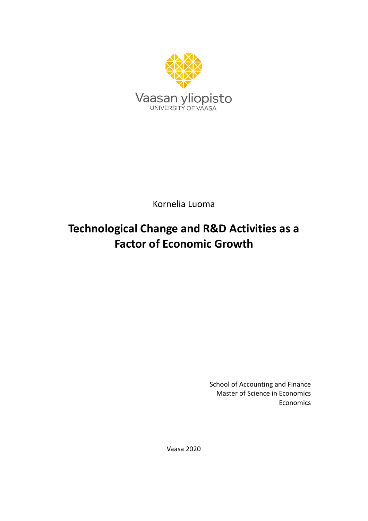

Kornelia Luoma

# **Technological Change and R&D Activities as a Factor of Economic Growth**

School of Accounting and Finance Master of Science in Economics Economics

Vaasa 2020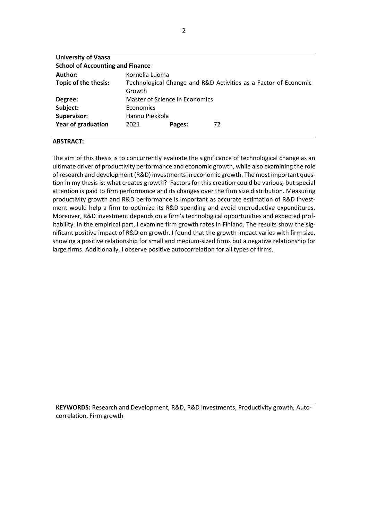| <b>University of Vaasa</b>              |                                                                           |        |    |  |  |  |
|-----------------------------------------|---------------------------------------------------------------------------|--------|----|--|--|--|
| <b>School of Accounting and Finance</b> |                                                                           |        |    |  |  |  |
| Author:                                 | Kornelia Luoma                                                            |        |    |  |  |  |
| Topic of the thesis:                    | Technological Change and R&D Activities as a Factor of Economic<br>Growth |        |    |  |  |  |
| Degree:                                 | Master of Science in Economics                                            |        |    |  |  |  |
| Subject:                                | Economics                                                                 |        |    |  |  |  |
| Supervisor:                             | Hannu Piekkola                                                            |        |    |  |  |  |
| <b>Year of graduation</b>               | 2021                                                                      | Pages: | 72 |  |  |  |

#### **ABSTRACT:**

The aim of this thesis is to concurrently evaluate the significance of technological change as an ultimate driver of productivity performance and economic growth, while also examining the role of research and development (R&D) investments in economic growth. The most important question in my thesis is: what creates growth? Factors for this creation could be various, but special attention is paid to firm performance and its changes over the firm size distribution. Measuring productivity growth and R&D performance is important as accurate estimation of R&D investment would help a firm to optimize its R&D spending and avoid unproductive expenditures. Moreover, R&D investment depends on a firm's technological opportunities and expected profitability. In the empirical part, I examine firm growth rates in Finland. The results show the significant positive impact of R&D on growth. I found that the growth impact varies with firm size, showing a positive relationship for small and medium-sized firms but a negative relationship for large firms. Additionally, I observe positive autocorrelation for all types of firms.

**KEYWORDS:** Research and Development, R&D, R&D investments, Productivity growth, Autocorrelation, Firm growth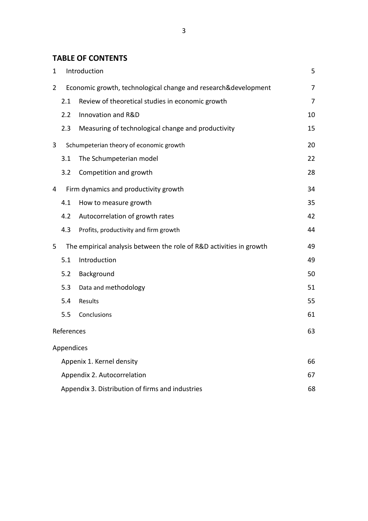# **TABLE OF CONTENTS**

| $\mathbf 1$                 | Introduction                                                        |                                                    |    |  |
|-----------------------------|---------------------------------------------------------------------|----------------------------------------------------|----|--|
| 2                           | Economic growth, technological change and research&development      |                                                    |    |  |
|                             | 2.1                                                                 | Review of theoretical studies in economic growth   | 7  |  |
|                             | 2.2                                                                 | Innovation and R&D                                 | 10 |  |
|                             | 2.3                                                                 | Measuring of technological change and productivity | 15 |  |
| 3                           | Schumpeterian theory of economic growth                             |                                                    | 20 |  |
|                             | 3.1                                                                 | The Schumpeterian model                            | 22 |  |
|                             | 3.2                                                                 | Competition and growth                             | 28 |  |
| 4                           | Firm dynamics and productivity growth                               |                                                    | 34 |  |
|                             | 4.1                                                                 | How to measure growth                              | 35 |  |
|                             | 4.2                                                                 | Autocorrelation of growth rates                    | 42 |  |
|                             | 4.3                                                                 | Profits, productivity and firm growth              | 44 |  |
| 5                           | The empirical analysis between the role of R&D activities in growth |                                                    | 49 |  |
|                             | 5.1                                                                 | Introduction                                       | 49 |  |
|                             | 5.2                                                                 | Background                                         | 50 |  |
|                             | 5.3                                                                 | Data and methodology                               | 51 |  |
|                             | 5.4                                                                 | Results                                            | 55 |  |
|                             | 5.5                                                                 | Conclusions                                        | 61 |  |
|                             | References                                                          |                                                    |    |  |
|                             | Appendices                                                          |                                                    |    |  |
| Appenix 1. Kernel density   |                                                                     |                                                    | 66 |  |
| Appendix 2. Autocorrelation |                                                                     |                                                    |    |  |
|                             |                                                                     | Appendix 3. Distribution of firms and industries   | 68 |  |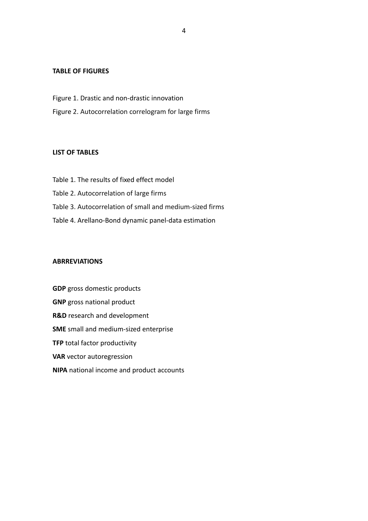## **TABLE OF FIGURES**

- Figure 1. Drastic and non-drastic innovation
- Figure 2. Autocorrelation correlogram for large firms

## **LIST OF TABLES**

Table 1. The results of fixed effect model Table 2. Autocorrelation of large firms Table 3. Autocorrelation of small and medium-sized firms Table 4. Arellano-Bond dynamic panel-data estimation

#### **ABRREVIATIONS**

**GDP** gross domestic products **GNP** gross national product **R&D** research and development **SME** small and medium-sized enterprise **TFP** total factor productivity **VAR** vector autoregression **NIPA** national income and product accounts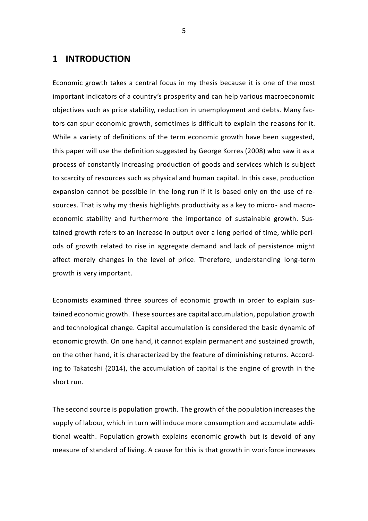# **1 INTRODUCTION**

Economic growth takes a central focus in my thesis because it is one of the most important indicators of a country's prosperity and can help various macroeconomic objectives such as price stability, reduction in unemployment and debts. Many factors can spur economic growth, sometimes is difficult to explain the reasons for it. While a variety of definitions of the term economic growth have been suggested, this paper will use the definition suggested by George Korres (2008) who saw it as a process of constantly increasing production of goods and services which is subject to scarcity of resources such as physical and human capital. In this case, production expansion cannot be possible in the long run if it is based only on the use of resources. That is why my thesis highlights productivity as a key to micro- and macroeconomic stability and furthermore the importance of sustainable growth. Sustained growth refers to an increase in output over a long period of time, while periods of growth related to rise in aggregate demand and lack of persistence might affect merely changes in the level of price. Therefore, understanding long-term growth is very important.

Economists examined three sources of economic growth in order to explain sustained economic growth. These sources are capital accumulation, population growth and technological change. Capital accumulation is considered the basic dynamic of economic growth. On one hand, it cannot explain permanent and sustained growth, on the other hand, it is characterized by the feature of diminishing returns. According to Takatoshi (2014), the accumulation of capital is the engine of growth in the short run.

The second source is population growth. The growth of the population increases the supply of labour, which in turn will induce more consumption and accumulate additional wealth. Population growth explains economic growth but is devoid of any measure of standard of living. A cause for this is that growth in workforce increases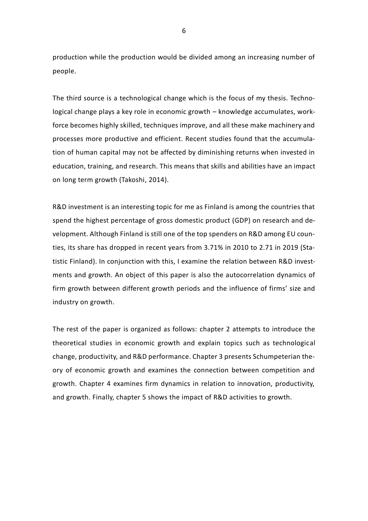production while the production would be divided among an increasing number of people.

The third source is a technological change which is the focus of my thesis. Technological change plays a key role in economic growth – knowledge accumulates, workforce becomes highly skilled, techniques improve, and all these make machinery and processes more productive and efficient. Recent studies found that the accumulation of human capital may not be affected by diminishing returns when invested in education, training, and research. This means that skills and abilities have an impact on long term growth (Takoshi, 2014).

R&D investment is an interesting topic for me as Finland is among the countries that spend the highest percentage of gross domestic product (GDP) on research and development. Although Finland is still one of the top spenders on R&D among EU counties, its share has dropped in recent years from 3.71% in 2010 to 2.71 in 2019 (Statistic Finland). In conjunction with this, I examine the relation between R&D investments and growth. An object of this paper is also the autocorrelation dynamics of firm growth between different growth periods and the influence of firms' size and industry on growth.

The rest of the paper is organized as follows: chapter 2 attempts to introduce the theoretical studies in economic growth and explain topics such as technological change, productivity, and R&D performance. Chapter 3 presents Schumpeterian theory of economic growth and examines the connection between competition and growth. Chapter 4 examines firm dynamics in relation to innovation, productivity, and growth. Finally, chapter 5 shows the impact of R&D activities to growth.

6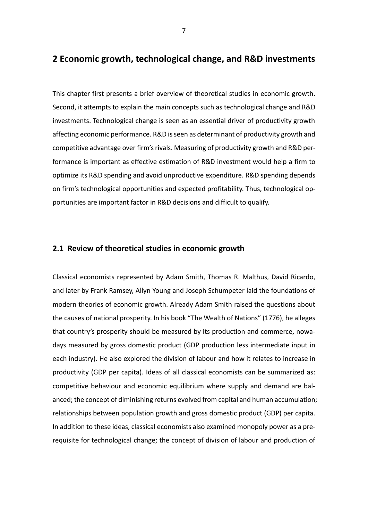# **2 Economic growth, technological change, and R&D investments**

This chapter first presents a brief overview of theoretical studies in economic growth. Second, it attempts to explain the main concepts such as technological change and R&D investments. Technological change is seen as an essential driver of productivity growth affecting economic performance. R&D is seen as determinant of productivity growth and competitive advantage over firm's rivals. Measuring of productivity growth and R&D performance is important as effective estimation of R&D investment would help a firm to optimize its R&D spending and avoid unproductive expenditure. R&D spending depends on firm's technological opportunities and expected profitability. Thus, technological opportunities are important factor in R&D decisions and difficult to qualify.

## **2.1 Review of theoretical studies in economic growth**

Classical economists represented by Adam Smith, Thomas R. Malthus, David Ricardo, and later by Frank Ramsey, Allyn Young and Joseph Schumpeter laid the foundations of modern theories of economic growth. Already Adam Smith raised the questions about the causes of national prosperity. In his book "The Wealth of Nations" (1776), he alleges that country's prosperity should be measured by its production and commerce, nowadays measured by gross domestic product (GDP production less intermediate input in each industry). He also explored the division of labour and how it relates to increase in productivity (GDP per capita). Ideas of all classical economists can be summarized as: competitive behaviour and economic equilibrium where supply and demand are balanced; the concept of diminishing returns evolved from capital and human accumulation; relationships between population growth and gross domestic product (GDP) per capita. In addition to these ideas, classical economists also examined monopoly power as a prerequisite for technological change; the concept of division of labour and production of

7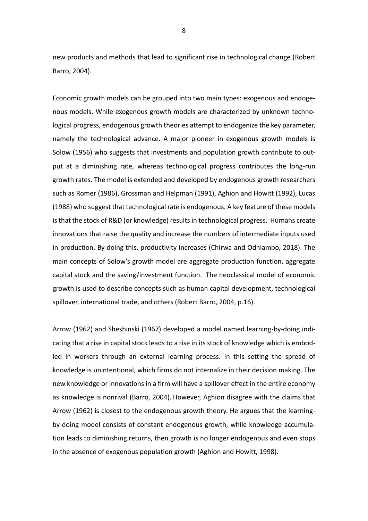new products and methods that lead to significant rise in technological change (Robert Barro, 2004).

Economic growth models can be grouped into two main types: exogenous and endogenous models. While exogenous growth models are characterized by unknown technological progress, endogenous growth theories attempt to endogenize the key parameter, namely the technological advance. A major pioneer in exogenous growth models is Solow (1956) who suggests that investments and population growth contribute to output at a diminishing rate, whereas technological progress contributes the long-run growth rates. The model is extended and developed by endogenous growth researchers such as Romer (1986), Grossman and Helpman (1991), Aghion and Howitt (1992), Lucas (1988) who suggest that technological rate is endogenous. A key feature of these models is that the stock of R&D (or knowledge) results in technological progress. Humans create innovations that raise the quality and increase the numbers of intermediate inputs used in production. By doing this, productivity increases (Chirwa and Odhiambo, 2018). The main concepts of Solow's growth model are aggregate production function, aggregate capital stock and the saving/investment function. The neoclassical model of economic growth is used to describe concepts such as human capital development, technological spillover, international trade, and others (Robert Barro, 2004, p.16).

Arrow (1962) and Sheshinski (1967) developed a model named learning-by-doing indicating that a rise in capital stock leads to a rise in its stock of knowledge which is embodied in workers through an external learning process. In this setting the spread of knowledge is unintentional, which firms do not internalize in their decision making. The new knowledge or innovations in a firm will have a spillover effect in the entire economy as knowledge is nonrival (Barro, 2004). However, Aghion disagree with the claims that Arrow (1962) is closest to the endogenous growth theory. He argues that the learningby-doing model consists of constant endogenous growth, while knowledge accumulation leads to diminishing returns, then growth is no longer endogenous and even stops in the absence of exogenous population growth (Aghion and Howitt, 1998).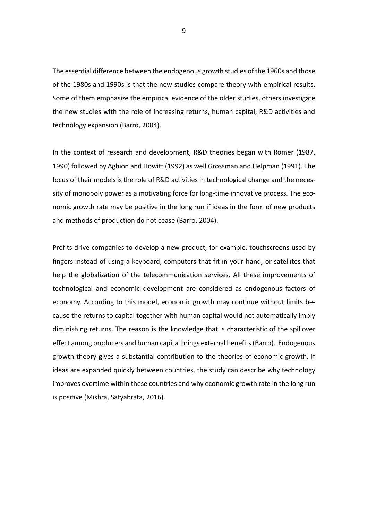The essential difference between the endogenous growth studies of the 1960s and those of the 1980s and 1990s is that the new studies compare theory with empirical results. Some of them emphasize the empirical evidence of the older studies, others investigate the new studies with the role of increasing returns, human capital, R&D activities and technology expansion (Barro, 2004).

In the context of research and development, R&D theories began with Romer (1987, 1990) followed by Aghion and Howitt (1992) as well Grossman and Helpman (1991). The focus of their models is the role of R&D activities in technological change and the necessity of monopoly power as a motivating force for long-time innovative process. The economic growth rate may be positive in the long run if ideas in the form of new products and methods of production do not cease (Barro, 2004).

Profits drive companies to develop a new product, for example, touchscreens used by fingers instead of using a keyboard, computers that fit in your hand, or satellites that help the globalization of the telecommunication services. All these improvements of technological and economic development are considered as endogenous factors of economy. According to this model, economic growth may continue without limits because the returns to capital together with human capital would not automatically imply diminishing returns. The reason is the knowledge that is characteristic of the spillover effect among producers and human capital brings external benefits (Barro). Endogenous growth theory gives a substantial contribution to the theories of economic growth. If ideas are expanded quickly between countries, the study can describe why technology improves overtime within these countries and why economic growth rate in the long run is positive [\(Mishra, Satyabrata,](https://tritonia.finna.fi/uva/Primo/Search?lookfor=Mishra%2C+Satyabrata&type=Author) 2016).

9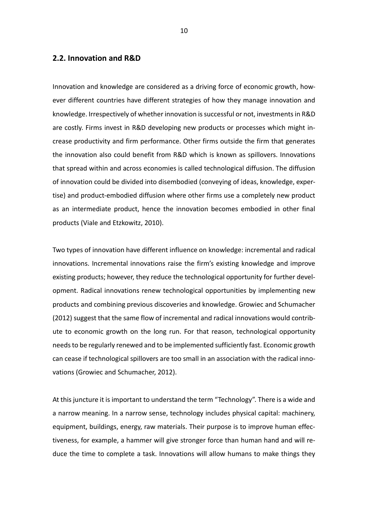## **2.2. Innovation and R&D**

Innovation and knowledge are considered as a driving force of economic growth, however different countries have different strategies of how they manage innovation and knowledge. Irrespectively of whether innovation is successful or not, investments in R&D are costly. Firms invest in R&D developing new products or processes which might increase productivity and firm performance. Other firms outside the firm that generates the innovation also could benefit from R&D which is known as spillovers. Innovations that spread within and across economies is called technological diffusion. The diffusion of innovation could be divided into disembodied (conveying of ideas, knowledge, expertise) and product-embodied diffusion where other firms use a completely new product as an intermediate product, hence the innovation becomes embodied in other final products (Viale and Etzkowitz, 2010).

Two types of innovation have different influence on knowledge: incremental and radical innovations. Incremental innovations raise the firm's existing knowledge and improve existing products; however, they reduce the technological opportunity for further development. Radical innovations renew technological opportunities by implementing new products and combining previous discoveries and knowledge. Growiec and Schumacher (2012) suggest that the same flow of incremental and radical innovations would contribute to economic growth on the long run. For that reason, technological opportunity needs to be regularly renewed and to be implemented sufficiently fast. Economic growth can cease if technological spillovers are too small in an association with the radical innovations (Growiec and Schumacher, 2012).

At this juncture it is important to understand the term "Technology". There is a wide and a narrow meaning. In a narrow sense, technology includes physical capital: machinery, equipment, buildings, energy, raw materials. Their purpose is to improve human effectiveness, for example, a hammer will give stronger force than human hand and will reduce the time to complete a task. Innovations will allow humans to make things they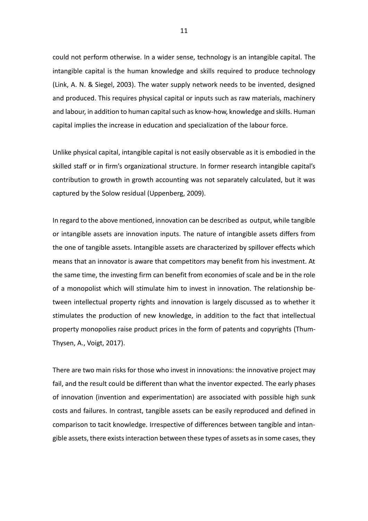could not perform otherwise. In a wider sense, technology is an intangible capital. The intangible capital is the human knowledge and skills required to produce technology (Link, A. N. & Siegel, 2003). The water supply network needs to be invented, designed and produced. This requires physical capital or inputs such as raw materials, machinery and labour, in addition to human capital such as know-how, knowledge and skills. Human capital implies the increase in education and specialization of the labour force.

Unlike physical capital, intangible capital is not easily observable as it is embodied in the skilled staff or in firm's organizational structure. In former research intangible capital's contribution to growth in growth accounting was not separately calculated, but it was captured by the Solow residual (Uppenberg, 2009).

In regard to the above mentioned, innovation can be described as output, while tangible or intangible assets are innovation inputs. The nature of intangible assets differs from the one of tangible assets. Intangible assets are characterized by spillover effects which means that an innovator is aware that competitors may benefit from his investment. At the same time, the investing firm can benefit from economies of scale and be in the role of a monopolist which will stimulate him to invest in innovation. The relationship between intellectual property rights and innovation is largely discussed as to whether it stimulates the production of new knowledge, in addition to the fact that intellectual property monopolies raise product prices in the form of patents and copyrights (Thum-Thysen, A., Voigt, 2017).

There are two main risks for those who invest in innovations: the innovative project may fail, and the result could be different than what the inventor expected. The early phases of innovation (invention and experimentation) are associated with possible high sunk costs and failures. In contrast, tangible assets can be easily reproduced and defined in comparison to tacit knowledge. Irrespective of differences between tangible and intangible assets, there exists interaction between these types of assets as in some cases, they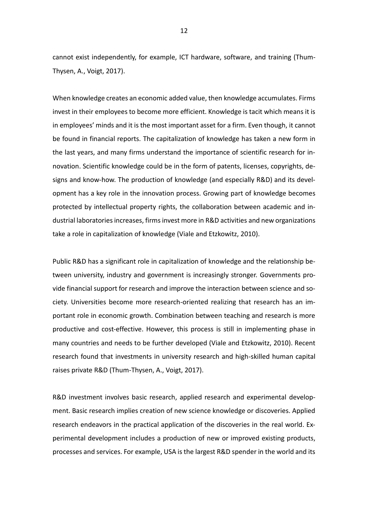cannot exist independently, for example, ICT hardware, software, and training (Thum-Thysen, A., Voigt, 2017).

When knowledge creates an economic added value, then knowledge accumulates. Firms invest in their employees to become more efficient. Knowledge is tacit which means it is in employees' minds and it is the most important asset for a firm. Even though, it cannot be found in financial reports. The capitalization of knowledge has taken a new form in the last years, and many firms understand the importance of scientific research for innovation. Scientific knowledge could be in the form of patents, licenses, copyrights, designs and know-how. The production of knowledge (and especially R&D) and its development has a key role in the innovation process. Growing part of knowledge becomes protected by intellectual property rights, the collaboration between academic and industrial laboratories increases, firms invest more in R&D activities and new organizations take a role in capitalization of knowledge (Viale and Etzkowitz, 2010).

Public R&D has a significant role in capitalization of knowledge and the relationship between university, industry and government is increasingly stronger. Governments provide financial support for research and improve the interaction between science and society. Universities become more research-oriented realizing that research has an important role in economic growth. Combination between teaching and research is more productive and cost-effective. However, this process is still in implementing phase in many countries and needs to be further developed (Viale and Etzkowitz, 2010). Recent research found that investments in university research and high-skilled human capital raises private R&D (Thum-Thysen, A., Voigt, 2017).

R&D investment involves basic research, applied research and experimental development. Basic research implies creation of new science knowledge or discoveries. Applied research endeavors in the practical application of the discoveries in the real world. Experimental development includes a production of new or improved existing products, processes and services. For example, USA is the largest R&D spender in the world and its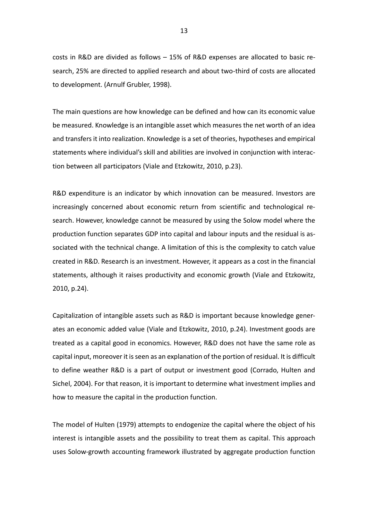costs in R&D are divided as follows – 15% of R&D expenses are allocated to basic research, 25% are directed to applied research and about two-third of costs are allocated to development. (Arnulf Grubler, 1998).

The main questions are how knowledge can be defined and how can its economic value be measured. Knowledge is an intangible asset which measures the net worth of an idea and transfers it into realization. Knowledge is a set of theories, hypotheses and empirical statements where individual's skill and abilities are involved in conjunction with interaction between all participators (Viale and Etzkowitz, 2010, p.23).

R&D expenditure is an indicator by which innovation can be measured. Investors are increasingly concerned about economic return from scientific and technological research. However, knowledge cannot be measured by using the Solow model where the production function separates GDP into capital and labour inputs and the residual is associated with the technical change. A limitation of this is the complexity to catch value created in R&D. Research is an investment. However, it appears as a cost in the financial statements, although it raises productivity and economic growth (Viale and Etzkowitz, 2010, p.24).

Capitalization of intangible assets such as R&D is important because knowledge generates an economic added value (Viale and Etzkowitz, 2010, p.24). Investment goods are treated as a capital good in economics. However, R&D does not have the same role as capital input, moreover it is seen as an explanation of the portion of residual. It is difficult to define weather R&D is a part of output or investment good (Corrado, Hulten and Sichel, 2004). For that reason, it is important to determine what investment implies and how to measure the capital in the production function.

The model of Hulten (1979) attempts to endogenize the capital where the object of his interest is intangible assets and the possibility to treat them as capital. This approach uses Solow-growth accounting framework illustrated by aggregate production function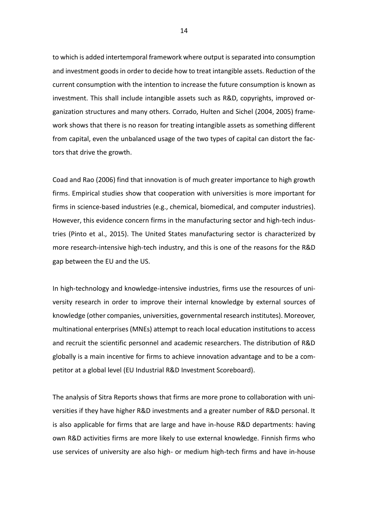to which is added intertemporal framework where output is separated into consumption and investment goods in order to decide how to treat intangible assets. Reduction of the current consumption with the intention to increase the future consumption is known as investment. This shall include intangible assets such as R&D, copyrights, improved organization structures and many others. Corrado, Hulten and Sichel (2004, 2005) framework shows that there is no reason for treating intangible assets as something different from capital, even the unbalanced usage of the two types of capital can distort the factors that drive the growth.

Coad and Rao (2006) find that innovation is of much greater importance to high growth firms. Empirical studies show that cooperation with universities is more important for firms in science-based industries (e.g., chemical, biomedical, and computer industries). However, this evidence concern firms in the manufacturing sector and high-tech industries (Pinto et al., 2015). The United States manufacturing sector is characterized by more research-intensive high-tech industry, and this is one of the reasons for the R&D gap between the EU and the US.

In high-technology and knowledge-intensive industries, firms use the resources of university research in order to improve their internal knowledge by external sources of knowledge (other companies, universities, governmental research institutes). Moreover, multinational enterprises (MNEs) attempt to reach local education institutions to access and recruit the scientific personnel and academic researchers. The distribution of R&D globally is a main incentive for firms to achieve innovation advantage and to be a competitor at a global level (EU Industrial R&D Investment Scoreboard).

The analysis of Sitra Reports shows that firms are more prone to collaboration with universities if they have higher R&D investments and a greater number of R&D personal. It is also applicable for firms that are large and have in-house R&D departments: having own R&D activities firms are more likely to use external knowledge. Finnish firms who use services of university are also high- or medium high-tech firms and have in-house

14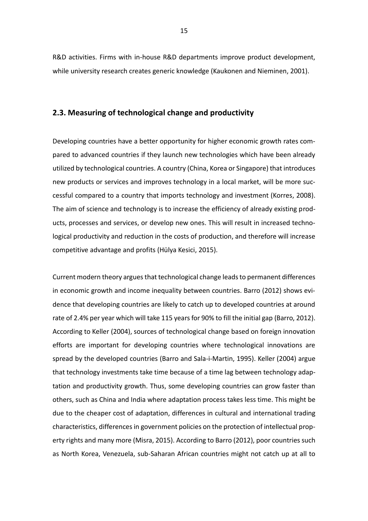R&D activities. Firms with in-house R&D departments improve product development, while university research creates generic knowledge (Kaukonen and Nieminen, 2001).

## **2.3. Measuring of technological change and productivity**

Developing countries have a better opportunity for higher economic growth rates compared to advanced countries if they launch new technologies which have been already utilized by technological countries. A country (China, Korea or Singapore) that introduces new products or services and improves technology in a local market, will be more successful compared to a country that imports technology and investment (Korres, 2008). The aim of science and technology is to increase the efficiency of already existing products, processes and services, or develop new ones. This will result in increased technological productivity and reduction in the costs of production, and therefore will increase competitive advantage and profits (Hülya Kesici, 2015).

Current modern theory arguesthat technological change leads to permanent differences in economic growth and income inequality between countries. Barro (2012) shows evidence that developing countries are likely to catch up to developed countries at around rate of 2.4% per year which will take 115 years for 90% to fill the initial gap (Barro, 2012). According to Keller (2004), sources of technological change based on foreign innovation efforts are important for developing countries where technological innovations are spread by the developed countries (Barro and Sala-i-Martin, 1995). Keller (2004) argue that technology investments take time because of a time lag between technology adaptation and productivity growth. Thus, some developing countries can grow faster than others, such as China and India where adaptation process takes less time. This might be due to the cheaper cost of adaptation, differences in cultural and international trading characteristics, differences in government policies on the protection of intellectual property rights and many more (Misra, 2015). According to Barro (2012), poor countries such as North Korea, Venezuela, sub-Saharan African countries might not catch up at all to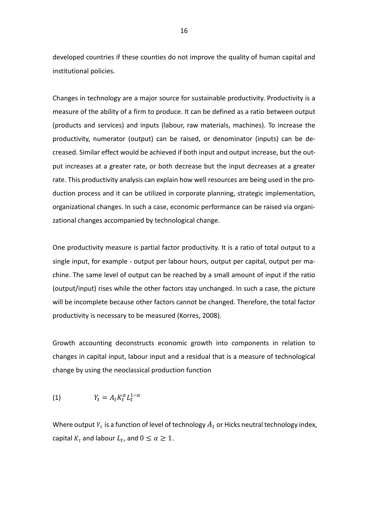developed countries if these counties do not improve the quality of human capital and institutional policies.

Changes in technology are a major source for sustainable productivity. Productivity is a measure of the ability of a firm to produce. It can be defined as a ratio between output (products and services) and inputs (labour, raw materials, machines). To increase the productivity, numerator (output) can be raised, or denominator (inputs) can be decreased. Similar effect would be achieved if both input and output increase, but the output increases at a greater rate, or both decrease but the input decreases at a greater rate. This productivity analysis can explain how well resources are being used in the production process and it can be utilized in corporate planning, strategic implementation, organizational changes. In such a case, economic performance can be raised via organizational changes accompanied by technological change.

One productivity measure is partial factor productivity. It is a ratio of total output to a single input, for example - output per labour hours, output per capital, output per machine. The same level of output can be reached by a small amount of input if the ratio (output/input) rises while the other factors stay unchanged. In such a case, the picture will be incomplete because other factors cannot be changed. Therefore, the total factor productivity is necessary to be measured (Korres, 2008).

Growth accounting deconstructs economic growth into components in relation to changes in capital input, labour input and a residual that is a measure of technological change by using the neoclassical production function

$$
(1) \t Y_t = A_t K_t^{\alpha} L_t^{1-\alpha}
$$

Where output  $Y_t$  is a function of level of technology  $A_t$  or Hicks neutral technology index, capital  $K_t$  and labour  $L_t$ , and  $0 \leq \alpha \geq 1$ .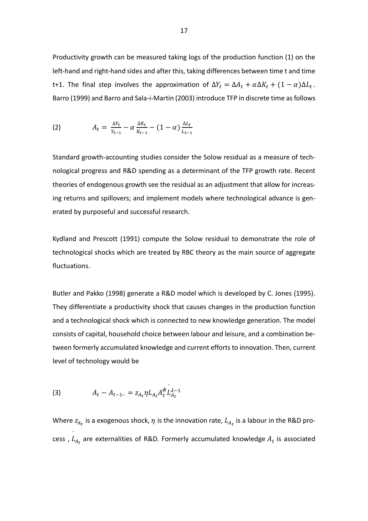Productivity growth can be measured taking logs of the production function (1) on the left-hand and right-hand sides and after this, taking differences between time t and time t+1. The final step involves the approximation of  $\Delta Y_t = \Delta A_t + \alpha \Delta K_t + (1 - \alpha) \Delta L_t$ . Barro (1999) and Barro and Sala-i-Martin (2003) introduce TFP in discrete time as follows

(2) 
$$
A_t = \frac{\Delta Y_t}{Y_{t-1}} - \alpha \frac{\Delta K_t}{K_{t-1}} - (1 - \alpha) \frac{\Delta L_t}{L_{t-1}}
$$

Standard growth-accounting studies consider the Solow residual as a measure of technological progress and R&D spending as a determinant of the TFP growth rate. Recent theories of endogenous growth see the residual as an adjustment that allow for increasing returns and spillovers; and implement models where technological advance is generated by purposeful and successful research.

Kydland and Prescott (1991) compute the Solow residual to demonstrate the role of technological shocks which are treated by RBC theory as the main source of aggregate fluctuations.

Butler and Pakko (1998) generate a R&D model which is developed by C. Jones (1995). They differentiate a productivity shock that causes changes in the production function and a technological shock which is connected to new knowledge generation. The model consists of capital, household choice between labour and leisure, and a combination between formerly accumulated knowledge and current efforts to innovation. Then, current level of technology would be

(3) 
$$
A_t - A_{t-1} = z_{A_t} \eta L_{A_t} A_t^{\phi} L_{A_t}^{\lambda - 1}
$$

Where  $z_{A_t}$  is a exogenous shock,  $\eta$  is the innovation rate,  $L_{A_t}$  is a labour in the R&D process ,  $L$ ¯  $a_t$  are externalities of R&D. Formerly accumulated knowledge  $A_t$  is associated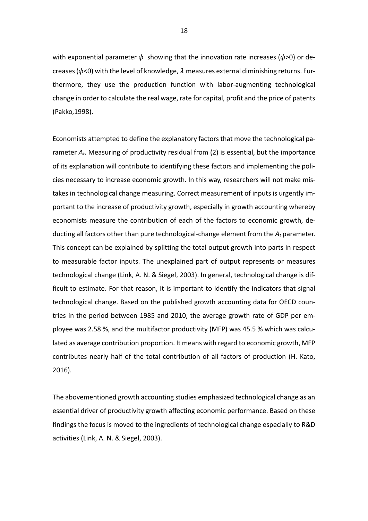with exponential parameter  $\phi$  showing that the innovation rate increases ( $\phi$ >0) or decreases ( $\phi$ <0) with the level of knowledge,  $\lambda$  measures external diminishing returns. Furthermore, they use the production function with labor-augmenting technological change in order to calculate the real wage, rate for capital, profit and the price of patents (Pakko,1998).

Economists attempted to define the explanatory factors that move the technological parameter *At*. Measuring of productivity residual from (2) is essential, but the importance of its explanation will contribute to identifying these factors and implementing the policies necessary to increase economic growth. In this way, researchers will not make mistakes in technological change measuring. Correct measurement of inputs is urgently important to the increase of productivity growth, especially in growth accounting whereby economists measure the contribution of each of the factors to economic growth, deducting all factors other than pure technological-change element from the *A<sup>t</sup>* parameter. This concept can be explained by splitting the total output growth into parts in respect to measurable factor inputs. The unexplained part of output represents or measures technological change (Link, A. N. & Siegel, 2003). In general, technological change is difficult to estimate. For that reason, it is important to identify the indicators that signal technological change. Based on the published growth accounting data for OECD countries in the period between 1985 and 2010, the average growth rate of GDP per employee was 2.58 %, and the multifactor productivity (MFP) was 45.5 % which was calculated as average contribution proportion. It means with regard to economic growth, MFP contributes nearly half of the total contribution of all factors of production (H. Kato, 2016).

The abovementioned growth accounting studies emphasized technological change as an essential driver of productivity growth affecting economic performance. Based on these findings the focus is moved to the ingredients of technological change especially to R&D activities (Link, A. N. & Siegel, 2003).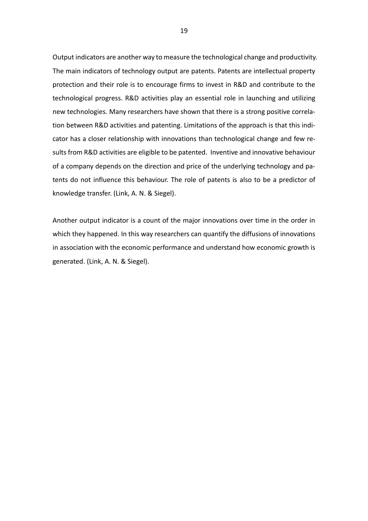Output indicators are another way to measure the technological change and productivity. The main indicators of technology output are patents. Patents are intellectual property protection and their role is to encourage firms to invest in R&D and contribute to the technological progress. R&D activities play an essential role in launching and utilizing new technologies. Many researchers have shown that there is a strong positive correlation between R&D activities and patenting. Limitations of the approach is that this indicator has a closer relationship with innovations than technological change and few results from R&D activities are eligible to be patented. Inventive and innovative behaviour of a company depends on the direction and price of the underlying technology and patents do not influence this behaviour. The role of patents is also to be a predictor of knowledge transfer. (Link, A. N. & Siegel).

Another output indicator is a count of the major innovations over time in the order in which they happened. In this way researchers can quantify the diffusions of innovations in association with the economic performance and understand how economic growth is generated. (Link, A. N. & Siegel).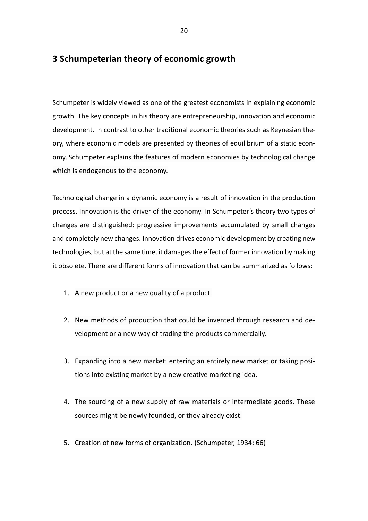# **3 Schumpeterian theory of economic growth**

Schumpeter is widely viewed as one of the greatest economists in explaining economic growth. The key concepts in his theory are entrepreneurship, innovation and economic development. In contrast to other traditional economic theories such as Keynesian theory, where economic models are presented by theories of equilibrium of a static economy, Schumpeter explains the features of modern economies by technological change which is endogenous to the economy.

Technological change in a dynamic economy is a result of innovation in the production process. Innovation is the driver of the economy. In Schumpeter's theory two types of changes are distinguished: progressive improvements accumulated by small changes and completely new changes. Innovation drives economic development by creating new technologies, but at the same time, it damages the effect of former innovation by making it obsolete. There are different forms of innovation that can be summarized as follows:

- 1. A new product or a new quality of a product.
- 2. New methods of production that could be invented through research and development or a new way of trading the products commercially.
- 3. Expanding into a new market: entering an entirely new market or taking positions into existing market by a new creative marketing idea.
- 4. The sourcing of a new supply of raw materials or intermediate goods. These sources might be newly founded, or they already exist.
- 5. Creation of new forms of organization. (Schumpeter, 1934: 66)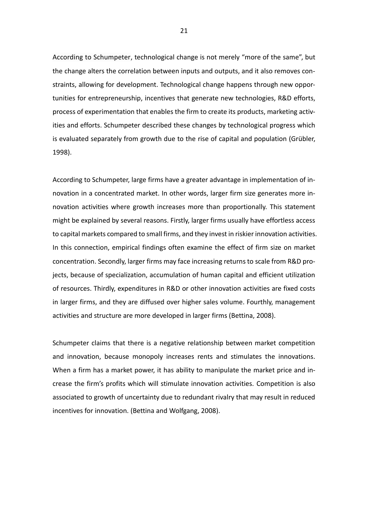According to Schumpeter, technological change is not merely "more of the same", but the change alters the correlation between inputs and outputs, and it also removes constraints, allowing for development. Technological change happens through new opportunities for entrepreneurship, incentives that generate new technologies, R&D efforts, process of experimentation that enables the firm to create its products, marketing activities and efforts. Schumpeter described these changes by technological progress which is evaluated separately from growth due to the rise of capital and population (Grübler, 1998).

According to Schumpeter, large firms have a greater advantage in implementation of innovation in a concentrated market. In other words, larger firm size generates more innovation activities where growth increases more than proportionally. This statement might be explained by several reasons. Firstly, larger firms usually have effortless access to capital markets compared to small firms, and they invest in riskier innovation activities. In this connection, empirical findings often examine the effect of firm size on market concentration. Secondly, larger firms may face increasing returns to scale from R&D projects, because of specialization, accumulation of human capital and efficient utilization of resources. Thirdly, expenditures in R&D or other innovation activities are fixed costs in larger firms, and they are diffused over higher sales volume. Fourthly, management activities and structure are more developed in larger firms [\(Bettina,](about:blank) 2008).

Schumpeter claims that there is a negative relationship between market competition and innovation, because monopoly increases rents and stimulates the innovations. When a firm has a market power, it has ability to manipulate the market price and increase the firm's profits which will stimulate innovation activities. Competition is also associated to growth of uncertainty due to redundant rivalry that may result in reduced incentives for innovation. [\(Bettina](about:blank) and [Wolfgang,](about:blank) 2008).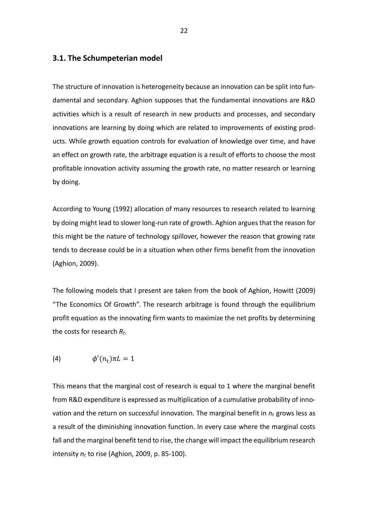## **3.1. The Schumpeterian model**

The structure of innovation is heterogeneity because an innovation can be split into fundamental and secondary. Aghion supposes that the fundamental innovations are R&D activities which is a result of research in new products and processes, and secondary innovations are learning by doing which are related to improvements of existing products. While growth equation controls for evaluation of knowledge over time, and have an effect on growth rate, the arbitrage equation is a result of efforts to choose the most profitable innovation activity assuming the growth rate, no matter research or learning by doing.

According to Young (1992) allocation of many resources to research related to learning by doing might lead to slower long-run rate of growth. Aghion argues that the reason for this might be the nature of technology spillover, however the reason that growing rate tends to decrease could be in a situation when other firms benefit from the innovation (Aghion, 2009).

The following models that I present are taken from the book of Aghion, Howitt (2009) "The Economics Of Growth". The research arbitrage is found through the equilibrium profit equation as the innovating firm wants to maximize the net profits by determining the costs for research *Rt*.

$$
(4) \qquad \qquad \phi'(n_t)\pi L = 1
$$

This means that the marginal cost of research is equal to 1 where the marginal benefit from R&D expenditure is expressed as multiplication of a cumulative probability of innovation and the return on successful innovation. The marginal benefit in *nt* grows less as a result of the diminishing innovation function. In every case where the marginal costs fall and the marginal benefit tend to rise, the change will impact the equilibrium research intensity *nt* to rise (Aghion, 2009, p. 85-100).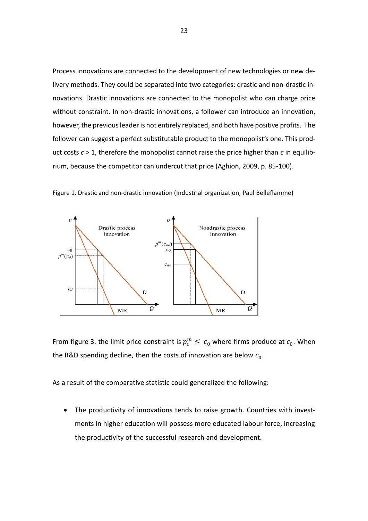Process innovations are connected to the development of new technologies or new delivery methods. They could be separated into two categories: drastic and non-drastic innovations. Drastic innovations are connected to the monopolist who can charge price without constraint. In non-drastic innovations, a follower can introduce an innovation, however, the previous leader is not entirely replaced, and both have positive profits. The follower can suggest a perfect substitutable product to the monopolist's one. This product costs *c* > 1, therefore the monopolist cannot raise the price higher than *c* in equilibrium, because the competitor can undercut that price (Aghion, 2009, p. 85-100).



Figure 1. Drastic and non-drastic innovation (Industrial organization, Paul Belleflamme)

From figure 3. the limit price constraint is  $p_c^m \leq c_0$  where firms produce at  $c_0$ . When the R&D spending decline, then the costs of innovation are below  $c_0$ .

As a result of the comparative statistic could generalized the following:

• The productivity of innovations tends to raise growth. Countries with investments in higher education will possess more educated labour force, increasing the productivity of the successful research and development.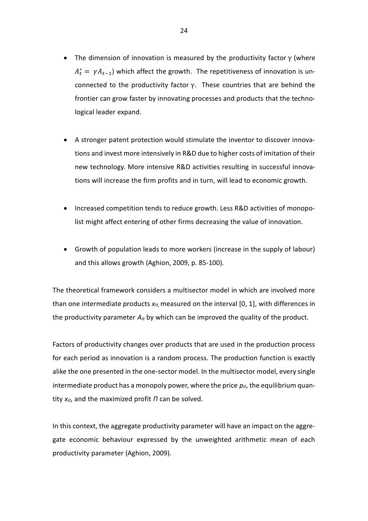- The dimension of innovation is measured by the productivity factor  $\gamma$  (where  $A_t^* = \gamma A_{t-1}$ ) which affect the growth. The repetitiveness of innovation is unconnected to the productivity factor γ. These countries that are behind the frontier can grow faster by innovating processes and products that the technological leader expand.
- A stronger patent protection would stimulate the inventor to discover innovations and invest more intensively in R&D due to higher costs of imitation of their new technology. More intensive R&D activities resulting in successful innovations will increase the firm profits and in turn, will lead to economic growth.
- Increased competition tends to reduce growth. Less R&D activities of monopolist might affect entering of other firms decreasing the value of innovation.
- Growth of population leads to more workers (increase in the supply of labour) and this allows growth (Aghion, 2009, p. 85-100).

The theoretical framework considers a multisector model in which are involved more than one intermediate products *xit*, measured on the interval [0, 1], with differences in the productivity parameter *Ait* by which can be improved the quality of the product.

Factors of productivity changes over products that are used in the production process for each period as innovation is a random process. The production function is exactly alike the one presented in the one-sector model. In thе multisector model, every single intermediate product has a monopoly power, where the price  $p_{it}$ , the equilibrium quantity *xit*, and the maximized profit *П* can be solved.

In this context, the aggregate productivity parameter will have an impact on the aggregate economic behaviour expressed by the unweighted arithmetic mean of each productivity parameter (Aghion, 2009).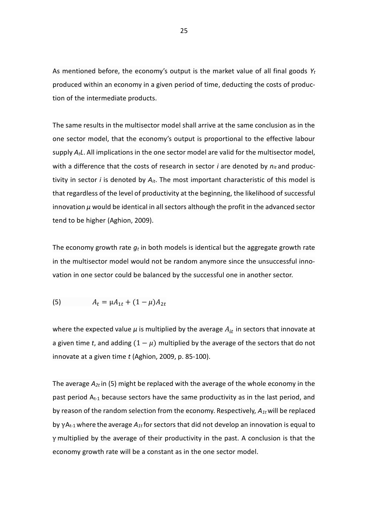As mentioned before, the economy's output is the market value of all final goods *Y<sup>t</sup>* produced within an economy in a given [period of time,](about:blank) deducting the costs of production of the intermediate products.

The same results in the multisector model shall arrive at the same conclusion as in the one sector model, that the economy's output is proportional to the effective labour supply *AtL*. All implications in the one sector model are valid for the multisector model, with a difference that the costs of research in sector *i* are denoted by *nit* and productivity in sector *i* is denoted by *Ait*. The most important characteristic of this model is that regardless of the level of productivity at the beginning, the likelihood of successful innovation *μ* would be identical in all sectors although the profit in the advanced sector tend to be higher (Aghion, 2009).

The economy growth rate *g<sup>t</sup>* in both models is identical but the aggregate growth rate in the multisector model would not be random anymore since the unsuccessful innovation in one sector could be balanced by the successful one in another sector.

(5) 
$$
A_t = \mu A_{1t} + (1 - \mu) A_{2t}
$$

where the expected value  $\mu$  is multiplied by the average  $A_{it}$  in sectors that innovate at a given time *t*, and adding  $(1 - \mu)$  multiplied by the average of the sectors that do not innovate at a given time *t* (Aghion, 2009, p. 85-100).

The average *A2t* in (5) might be replaced with the average of the whole economy in the past period  $A_{t-1}$  because sectors have the same productivity as in the last period, and by reason of the random selection from the economy. Respectively, *A1t* will be replaced by γAt-1 where the average *A1t* for sectors that did not develop an innovation is equal to γ multiplied by the average of their productivity in the past. A conclusion is that the economy growth rate will be a constant as in the one sector model.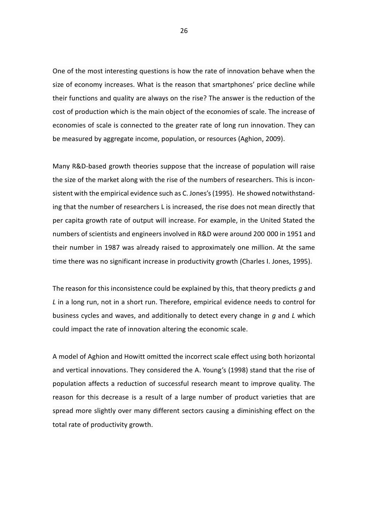One of the most interesting questions is how the rate of innovation behave when the size of economy increases. What is the reason that smartphones' price decline while their functions and quality are always on the rise? The answer is the reduction of the cost of production which is the main object of the economies of scale. The increase of economies of scale is connected to the greater rate of long run innovation. They can be measured by aggregate income, population, or resources (Aghion, 2009).

Many R&D-based growth theories suppose that the increase of population will raise the size of the market along with the rise of the numbers of researchers. This is inconsistent with the empirical evidence such as C. Jones's (1995). He showed notwithstanding that the number of researchers L is increased, the rise does not mean directly that per capita growth rate of output will increase. For example, in the United Stated the numbers of scientists and engineers involved in R&D were around 200 000 in 1951 and their number in 1987 was already raised to approximately one million. At the same time there was no significant increase in productivity growth (Charles I. Jones, 1995).

The reason for this inconsistence could be explained by this, that theory predicts *g* and *L* in a long run, not in a short run. Therefore, empirical evidence needs to control for business cycles and waves, and additionally to detect every change in *g* and *L* which could impact the rate of innovation altering the economic scale.

A model of Aghion and Howitt omitted the incorrect scale effect using both horizontal and vertical innovations. They considered the A. Young's (1998) stand that the rise of population affects a reduction of successful research meant to improve quality. The reason for this decrease is a result of a large number of product varieties that are spread more slightly over many different sectors causing a diminishing effect on the total rate of productivity growth.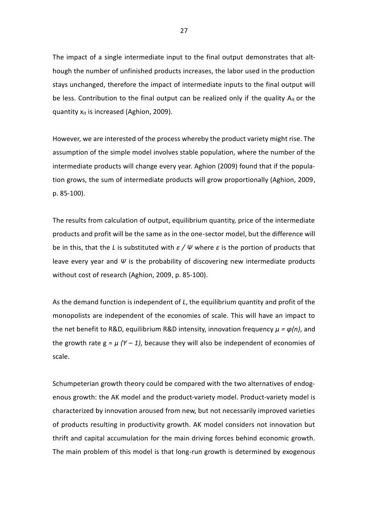The impact of a single intermediate input to the final output demonstrates that although the number of unfinished products increases, the labor used in the production stays unchanged, therefore the impact of intermediate inputs to the final output will be less. Contribution to the final output can be realized only if the quality  $A_{it}$  or the quantity xit is increased (Aghion, 2009).

However, we are interested of the process whereby the product variety might rise. The assumption of the simple model involves stable population, where the number of the intermediate products will change every year. Aghion (2009) found that if the population grows, the sum of intermediate products will grow proportionally (Aghion, 2009, p. 85-100).

The results from calculation of output, equilibrium quantity, price of the intermediate products and profit will be the same as in the one-sector model, but the difference will be in this, that the *L* is substituted with *ε / Ψ* where *ε* is the portion of products that leave every year and *Ψ* is the probability of discovering new intermediate products without cost of research (Aghion, 2009, p. 85-100).

As the demand function is independent of *L*, the equilibrium quantity and profit of the monopolists are independent of the economies of scale. This will have an impact to the net benefit to R&D, equilibrium R&D intensity, innovation frequency *µ = φ(n)*, and the growth rate  $g = \mu (Y - 1)$ , because they will also be independent of economies of scale.

Schumpeterian growth theory could be compared with the two alternatives of endogenous growth: the AK model and the product-variety model. Product-variety model is characterized by innovation aroused from new, but not necessarily improved varieties of products resulting in productivity growth. AK model considers not innovation but thrift and capital accumulation for the main driving forces behind economic growth. The main problem of this model is that long-run growth is determined by exogenous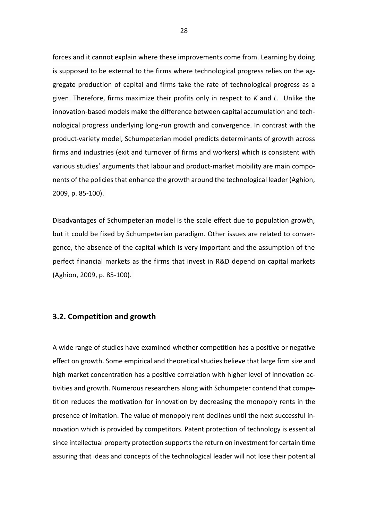forces and it cannot explain where these improvements come from. Learning by doing is supposed to be external to the firms where technological progress relies on the aggregate production of capital and firms take the rate of technological progress as a given. Therefore, firms maximize their profits only in respect to *K* and *L*. Unlike the innovation-based models make the difference between capital accumulation and technological progress underlying long-run growth and convergence. In contrast with the product-variety model, Schumpeterian model predicts determinants of growth across firms and industries (exit and turnover of firms and workers) which is consistent with various studies' arguments that labour and product-market mobility are main components of the policies that enhance the growth around the technological leader (Aghion, 2009, p. 85-100).

Disadvantages of Schumpeterian model is the scale effect due to population growth, but it could be fixed by Schumpeterian paradigm. Other issues are related to convergence, the absence of the capital which is very important and the assumption of the perfect financial markets as the firms that invest in R&D depend on capital markets (Aghion, 2009, p. 85-100).

## **3.2. Competition and growth**

A wide range of studies have examined whether competition has a positive or negative effect on growth. Some empirical and theoretical studies believe that large firm size and high market concentration has a positive correlation with higher level of innovation activities and growth. Numerous researchers along with Schumpeter contend that competition reduces the motivation for innovation by decreasing the monopoly rents in the presence of imitation. The value of monopoly rent declines until the next successful innovation which is provided by competitors. Patent protection of technology is essential since intellectual property protection supports the return on investment for certain time assuring that ideas and concepts of the technological leader will not lose their potential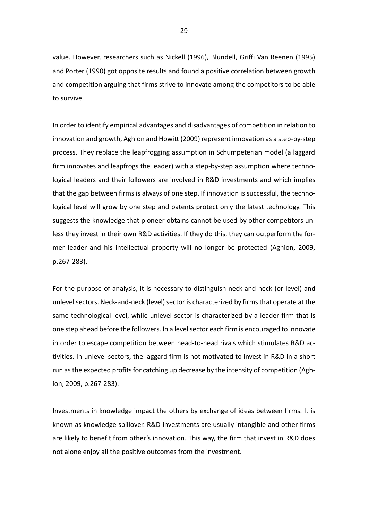value. However, researchers such as Nickell (1996), Blundell, Griffi Van Reenen (1995) and Porter (1990) got opposite results and found a positive correlation between growth and competition arguing that firms strive to innovate among the competitors to be able to survive.

In order to identify empirical advantages and disadvantages of competition in relation to innovation and growth, Aghion and Howitt (2009) represent innovation as a step-by-step process. They replace the leapfrogging assumption in Schumpeterian model (a laggard firm innovates and leapfrogs the leader) with a step-by-step assumption where technological leaders and their followers are involved in R&D investments and which implies that the gap between firms is always of one step. If innovation is successful, the technological level will grow by one step and patents protect only the latest technology. This suggests the knowledge that pioneer obtains cannot be used by other competitors unless they invest in their own R&D activities. If they do this, they can outperform the former leader and his intellectual property will no longer be protected (Aghion, 2009, p.267-283).

For the purpose of analysis, it is necessary to distinguish neck-and-neck (or level) and unlevel sectors. Neck-and-neck (level) sector is characterized by firms that operate at the same technological level, while unlevel sector is characterized by a leader firm that is one step ahead before the followers. In a level sector each firm is encouraged to innovate in order to escape competition between head-to-head rivals which stimulates R&D activities. In unlevel sectors, the laggard firm is not motivated to invest in R&D in a short run as the expected profits for catching up decrease by the intensity of competition (Aghion, 2009, p.267-283).

Investments in knowledge impact the others by exchange of ideas between firms. It is known as knowledge spillover. R&D investments are usually intangible and other firms are likely to benefit from other's innovation. This way, the firm that invest in R&D does not alone enjoy all the positive outcomes from the investment.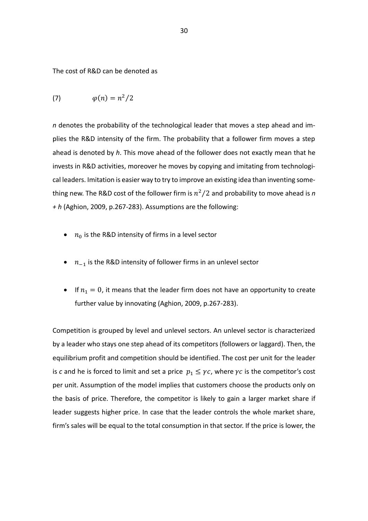The cost of R&D can be denoted as

$$
(7) \hspace{1cm} \varphi(n) = n^2/2
$$

*n* denotes the probability of the technological leader that moves a step ahead and implies the R&D intensity of the firm. The probability that a follower firm moves a step ahead is denoted by *h*. This move ahead of the follower does not exactly mean that he invests in R&D activities, moreover he moves by copying and imitating from technological leaders. Imitation is easier way to try to improve an existing idea than inventing something new. The R&D cost of the follower firm is  $n^2/2$  and probability to move ahead is n *+ h* (Aghion, 2009, p.267-283). Assumptions are the following:

- $n_0$  is the R&D intensity of firms in a level sector
- $n_{-1}$  is the R&D intensity of follower firms in an unlevel sector
- If  $n_1 = 0$ , it means that the leader firm does not have an opportunity to create further value by innovating (Aghion, 2009, p.267-283).

Competition is grouped by level and unlevel sectors. An unlevel sector is characterized by a leader who stays one step ahead of its competitors (followers or laggard). Then, the equilibrium profit and competition should be identified. The cost per unit for the leader is *c* and he is forced to limit and set a price  $p_1 \leq \gamma c$ , where  $\gamma c$  is the competitor's cost per unit. Assumption of the model implies that customers choose the products only on the basis of price. Therefore, the competitor is likely to gain a larger market share if leader suggests higher price. In case that the leader controls the whole market share, firm's sales will be equal to the total consumption in that sector. If the price is lower, the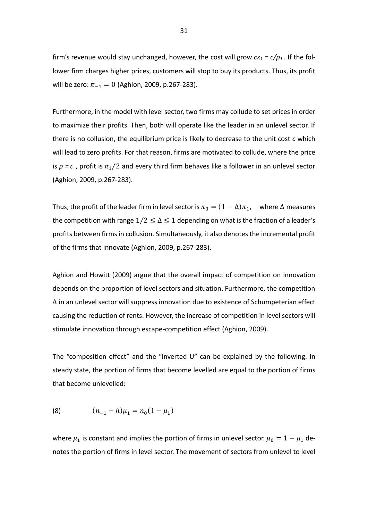firm's revenue would stay unchanged, however, the cost will grow  $cx_1 = c/p_1$ . If the follower firm charges higher prices, customers will stop to buy its products. Thus, its profit will be zero:  $\pi_{-1} = 0$  (Aghion, 2009, p.267-283).

Furthermore, in the model with level sector, two firms may collude to set prices in order to maximize their profits. Then, both will operate like the leader in an unlevel sector. If there is no collusion, the equilibrium price is likely to decrease to the unit cost *c* which will lead to zero profits. For that reason, firms are motivated to collude, where the price is  $p = c$ , profit is  $\pi_1/2$  and every third firm behaves like a follower in an unlevel sector (Aghion, 2009, p.267-283).

Thus, the profit of the leader firm in level sector is  $\pi_0 = (1 - \Delta)\pi_1$ , where  $\Delta$  measures the competition with range  $1/2 \leq \Delta \leq 1$  depending on what is the fraction of a leader's profits between firms in collusion. Simultaneously, it also denotes the incremental profit of the firms that innovate (Aghion, 2009, p.267-283).

Aghion and Howitt (2009) argue that the overall impact of competition on innovation depends on the proportion of level sectors and situation. Furthermore, the competition ∆ in an unlevel sector will suppress innovation due to existence of Schumpeterian effect causing the reduction of rents. However, the increase of competition in level sectors will stimulate innovation through escape-competition effect (Aghion, 2009).

The "composition effect" and the "inverted U" can be explained by the following. In steady state, the portion of firms that become levelled are equal to the portion of firms that become unlevelled:

(8) 
$$
(n_{-1} + h)\mu_1 = n_0(1 - \mu_1)
$$

where  $\mu_1$  is constant and implies the portion of firms in unlevel sector.  $\mu_0 = 1 - \mu_1$  denotes the portion of firms in level sector. The movement of sectors from unlevel to level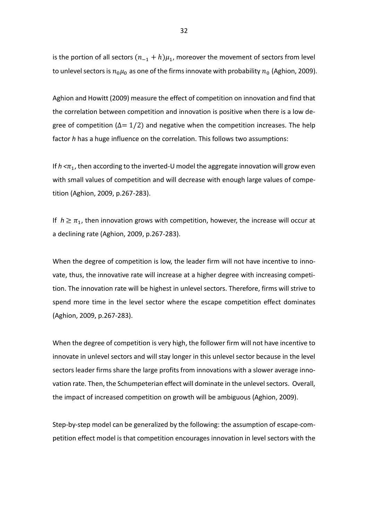is the portion of all sectors  $(n_{-1} + h)\mu_1$ , moreover the movement of sectors from level to unlevel sectors is  $n_0 \mu_0$  as one of the firms innovate with probability  $n_0$  (Aghion, 2009).

Aghion and Howitt (2009) measure the effect of competition on innovation and find that the correlation between competition and innovation is positive when there is a low degree of competition ( $\Delta = 1/2$ ) and negative when the competition increases. The help factor *h* has a huge influence on the correlation. This follows two assumptions:

If  $h < \pi_1$ , then according to the inverted-U model the aggregate innovation will grow even with small values of competition and will decrease with enough large values of competition (Aghion, 2009, p.267-283).

If  $h \geq \pi_1$ , then innovation grows with competition, however, the increase will occur at a declining rate (Aghion, 2009, p.267-283).

When the degree of competition is low, the leader firm will not have incentive to innovate, thus, the innovative rate will increase at a higher degree with increasing competition. The innovation rate will be highest in unlevel sectors. Therefore, firms will strive to spend more time in the level sector where the escape competition effect dominates (Aghion, 2009, p.267-283).

When the degree of competition is very high, the follower firm will not have incentive to innovate in unlevel sectors and will stay longer in this unlevel sector because in the level sectors leader firms share the large profits from innovations with a slower average innovation rate. Then, the Schumpeterian effect will dominate in the unlevel sectors. Overall, the impact of increased competition on growth will be ambiguous (Aghion, 2009).

Step-by-step model can be generalized by the following: the assumption of escape-competition effect model is that competition encourages innovation in level sectors with the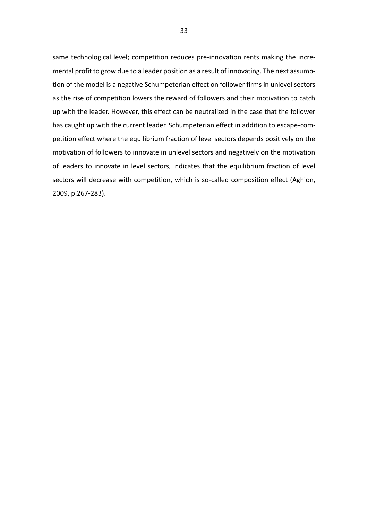same technological level; competition reduces pre-innovation rents making the incremental profit to grow due to a leader position as a result of innovating. The next assumption of the model is a negative Schumpeterian effect on follower firms in unlevel sectors as the rise of competition lowers the reward of followers and their motivation to catch up with the leader. However, this effect can be neutralized in the case that the follower has caught up with the current leader. Schumpeterian effect in addition to escape-competition effect where the equilibrium fraction of level sectors depends positively on the motivation of followers to innovate in unlevel sectors and negatively on the motivation of leaders to innovate in level sectors, indicates that the equilibrium fraction of level sectors will decrease with competition, which is so-called composition effect (Aghion, 2009, p.267-283).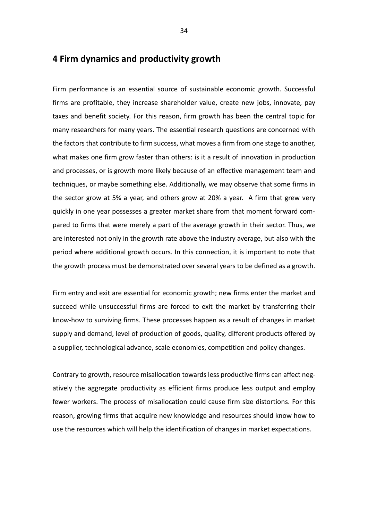# **4 Firm dynamics and productivity growth**

Firm performance is an essential source of sustainable economic growth. Successful firms are profitable, they increase shareholder value, create new jobs, innovate, pay taxes and benefit society. For this reason, firm growth has been the central topic for many researchers for many years. The essential research questions are concerned with the factors that contribute to firm success, what moves a firm from one stage to another, what makes one firm grow faster than others: is it a result of innovation in production and processes, or is growth more likely because of an effective management team and techniques, or maybe something else. Additionally, we may observe that some firms in the sector grow at 5% a year, and others grow at 20% a year. A firm that grew very quickly in one year possesses a greater market share from that moment forward compared to firms that were merely a part of the average growth in their sector. Thus, we are interested not only in the growth rate above the industry average, but also with the period where additional growth occurs. In this connection, it is important to note that the growth process must be demonstrated over several years to be defined as a growth.

Firm entry and exit are essential for economic growth; new firms enter the market and succeed while unsuccessful firms are forced to exit the market by transferring their know-how to surviving firms. These processes happen as a result of changes in market supply and demand, level of production of goods, quality, different products offered by a supplier, technological advance, scale economies, competition and policy changes.

Contrary to growth, resource misallocation towards less productive firms can affect negatively the aggregate productivity as efficient firms produce less output and employ fewer workers. The process of misallocation could cause firm size distortions. For this reason, growing firms that acquire new knowledge and resources should know how to use the resources which will help the identification of changes in market expectations.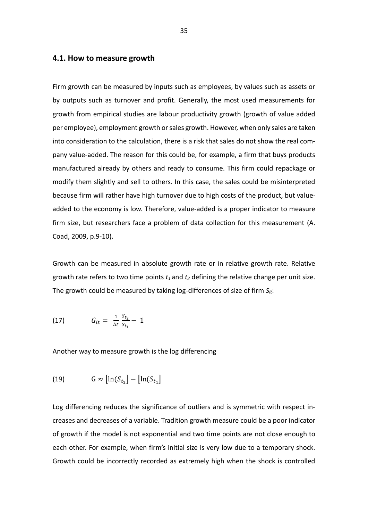#### **4.1. How to measure growth**

Firm growth can be measured by inputs such as employees, by values such as assets or by outputs such as turnover and profit. Generally, the most used measurements for growth from empirical studies are labour productivity growth (growth of value added per employee), employment growth or sales growth. However, when only sales are taken into consideration to the calculation, there is a risk that sales do not show the real company value-added. The reason for this could be, for example, a firm that buys products manufactured already by others and ready to consume. This firm could repackage or modify them slightly and sell to others. In this case, the sales could be misinterpreted because firm will rather have high turnover due to high costs of the product, but valueadded to the economy is low. Therefore, value-added is a proper indicator to measure firm size, but researchers face a problem of data collection for this measurement (A. Coad, 2009, p.9-10).

Growth can be measured in absolute growth rate or in relative growth rate. Relative growth rate refers to two time points *t<sup>1</sup>* and *t<sup>2</sup>* defining the relative change per unit size. The growth could be measured by taking log-differences of size of firm *Sit*:

(17) 
$$
G_{it} = \frac{1}{\Delta t} \frac{S_{t_2}}{S_{t_1}} - 1
$$

Another way to measure growth is the log differencing

$$
(19) \tG \approx \left[ \ln(S_{t_2}) - \left[ \ln(S_{t_1}) \right] \right]
$$

Log differencing reduces the significance of outliers and is symmetric with respect increases and decreases of a variable. Tradition growth measure could be a poor indicator of growth if the model is not exponential and two time points are not close enough to each other. For example, when firm's initial size is very low due to a temporary shock. Growth could be incorrectly recorded as extremely high when the shock is controlled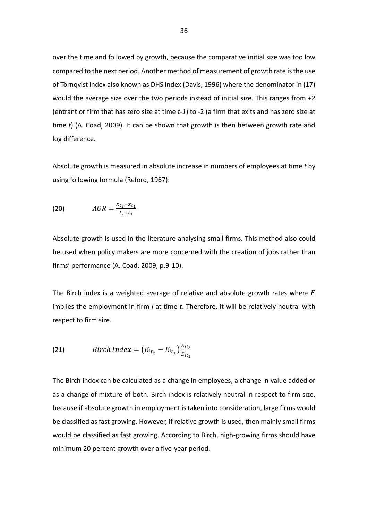over the time and followed by growth, because the comparative initial size was too low compared to the next period. Another method of measurement of growth rate is the use of Törnqvist index also known as DHS index (Davis, 1996) where the denominator in (17) would the average size over the two periods instead of initial size. This ranges from +2 (entrant or firm that has zero size at time *t-1*) to -2 (a firm that exits and has zero size at time *t*) (A. Coad, 2009). It can be shown that growth is then between growth rate and log difference.

Absolute growth is measured in absolute increase in numbers of employees at time *t* by using following formula (Reford, 1967):

(20) 
$$
AGR = \frac{x_{t_2} - x_{t_1}}{t_2 + t_1}
$$

Absolute growth is used in the literature analysing small firms. This method also could be used when policy makers are more concerned with the creation of jobs rather than firms' performance (A. Coad, 2009, p.9-10).

The Birch index is a weighted average of relative and absolute growth rates where  $E$ implies the employment in firm *i* at time *t*. Therefore, it will be relatively neutral with respect to firm size.

(21) 
$$
Birch Index = (E_{it_2} - E_{it_1}) \frac{E_{it_2}}{E_{it_1}}
$$

The Birch index can be calculated as a change in employees, a change in value added or as a change of mixture of both. Birch index is relatively neutral in respect to firm size, because if absolute growth in employment is taken into consideration, large firms would be classified as fast growing. However, if relative growth is used, then mainly small firms would be classified as fast growing. According to Birch, high-growing firms should have minimum 20 percent growth over a five-year period.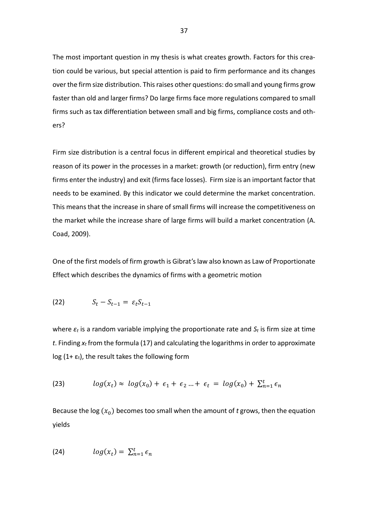The most important question in my thesis is what creates growth. Factors for this creation could be various, but special attention is paid to firm performance and its changes over the firm size distribution. This raises other questions: do small and young firms grow faster than old and larger firms? Do large firms face more regulations compared to small firms such as tax differentiation between small and big firms, compliance costs and others?

Firm size distribution is a central focus in different empirical and theoretical studies by reason of its power in the processes in a market: growth (or reduction), firm entry (new firms enter the industry) and exit (firms face losses). Firm size is an important factor that needs to be examined. By this indicator we could determine the market concentration. This means that the increase in share of small firms will increase the competitiveness on the market while the increase share of large firms will build a market concentration (A. Coad, 2009).

One of the first models of firm growth is Gibrat's law also known as Law of Proportionate Effect which describes the dynamics of firms with a geometric motion

$$
(22) \tS_t - S_{t-1} = \varepsilon_t S_{t-1}
$$

where *ε<sup>t</sup>* is a random variable implying the proportionate rate and *S<sup>t</sup>* is firm size at time *t*. Finding *x<sup>t</sup>* from the formula (17) and calculating the logarithms in order to approximate log (1+ $\varepsilon$ <sub>t</sub>), the result takes the following form

(23) 
$$
log(x_t) \approx log(x_0) + \epsilon_1 + \epsilon_2 ... + \epsilon_t = log(x_0) + \sum_{n=1}^t \epsilon_n
$$

Because the log  $(x_0)$  becomes too small when the amount of *t* grows, then the equation yields

$$
(24) \hspace{1cm} \log(x_t) = \sum_{n=1}^t \epsilon_n
$$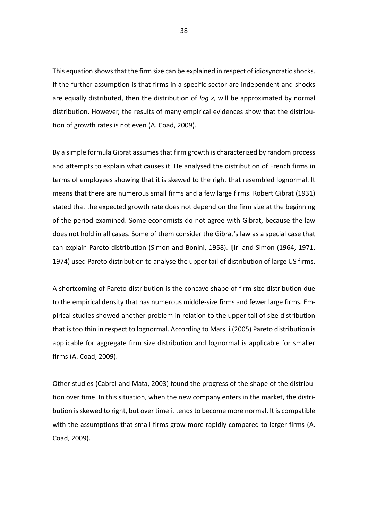This equation shows that the firm size can be explained in respect of idiosyncratic shocks. If the further assumption is that firms in a specific sector are independent and shocks are equally distributed, then the distribution of *log x<sup>t</sup>* will be approximated by normal distribution. However, the results of many empirical evidences show that the distribution of growth rates is not even (A. Coad, 2009).

By a simple formula Gibrat assumes that firm growth is characterized by random process and attempts to explain what causes it. He analysed the distribution of French firms in terms of employees showing that it is skewed to the right that resembled lognormal. It means that there are numerous small firms and a few large firms. Robert Gibrat (1931) stated that the expected growth rate does not depend on the firm size at the beginning of the period examined. Some economists do not agree with Gibrat, because the law does not hold in all cases. Some of them consider the Gibrat's law as a special case that can explain Pareto distribution (Simon and Bonini, 1958). Ijiri and Simon (1964, 1971, 1974) used Pareto distribution to analyse the upper tail of distribution of large US firms.

A shortcoming of Pareto distribution is the concave shape of firm size distribution due to the empirical density that has numerous middle-size firms and fewer large firms. Empirical studies showed another problem in relation to the upper tail of size distribution that is too thin in respect to lognormal. According to Marsili (2005) Pareto distribution is applicable for aggregate firm size distribution and lognormal is applicable for smaller firms (A. Coad, 2009).

Other studies (Cabral and Mata, 2003) found the progress of the shape of the distribution over time. In this situation, when the new company enters in the market, the distribution is skewed to right, but over time it tends to become more normal. It is compatible with the assumptions that small firms grow more rapidly compared to larger firms (A. Coad, 2009).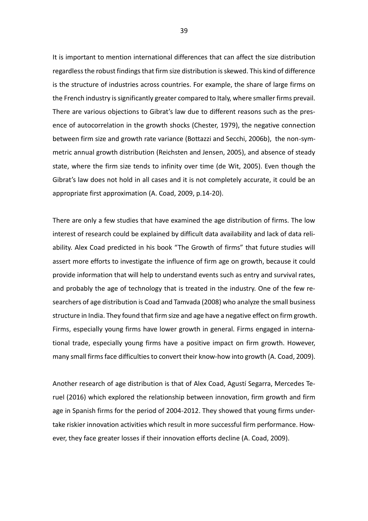It is important to mention international differences that can affect the size distribution regardless the robust findings that firm size distribution is skewed. This kind of difference is the structure of industries across countries. For example, the share of large firms on the French industry is significantly greater compared to Italy, where smaller firms prevail. There are various objections to Gibrat's law due to different reasons such as the presence of autocorrelation in the growth shocks (Chester, 1979), the negative connection between firm size and growth rate variance (Bottazzi and Secchi, 2006b), the non-symmetric annual growth distribution (Reichsten and Jensen, 2005), and absence of steady state, where the firm size tends to infinity over time (de Wit, 2005). Even though the Gibrat's law does not hold in all cases and it is not completely accurate, it could be an appropriate first approximation (A. Coad, 2009, p.14-20).

There are only a few studies that have examined the age distribution of firms. The low interest of research could be explained by difficult data availability and lack of data reliability. Alex Coad predicted in his book "The Growth of firms" that future studies will assert more efforts to investigate the influence of firm age on growth, because it could provide information that will help to understand events such as entry and survival rates, and probably the age of technology that is treated in the industry. One of the few researchers of age distribution is Coad and Tamvada (2008) who analyze the small business structure in India. They found that firm size and age have a negative effect on firm growth. Firms, especially young firms have lower growth in general. Firms engaged in international trade, especially young firms have a positive impact on firm growth. However, many small firms face difficulties to convert their know-how into growth (A. Coad, 2009).

Another research of age distribution is that of Alex Coad, Agustí Segarra, Mercedes Teruel (2016) which explored the relationship between innovation, firm growth and firm age in Spanish firms for the period of 2004-2012. They showed that young firms undertake riskier innovation activities which result in more successful firm performance. However, they face greater losses if their innovation efforts decline (A. Coad, 2009).

39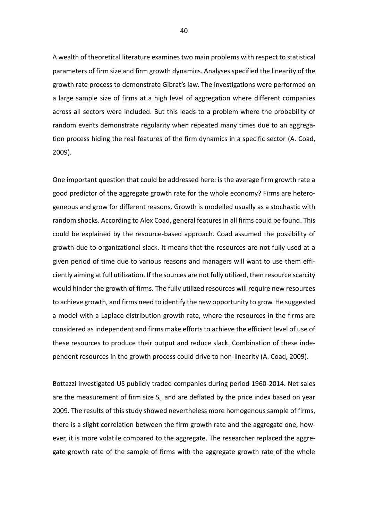A wealth of theoretical literature examines two main problems with respect to statistical parameters of firm size and firm growth dynamics. Analyses specified the linearity of the growth rate process to demonstrate Gibrat's law. The investigations were performed on a large sample size of firms at a high level of aggregation where different companies across all sectors were included. But this leads to a problem where the probability of random events demonstrate regularity when repeated many times due to an aggregation process hiding the real features of the firm dynamics in a specific sector (A. Coad, 2009).

One important question that could be addressed here: is the average firm growth rate a good predictor of the aggregate growth rate for the whole economy? Firms are heterogeneous and grow for different reasons. Growth is modelled usually as a stochastic with random shocks. According to Alex Coad, general features in all firms could be found. This could be explained by the resource-based approach. Coad assumed the possibility of growth due to organizational slack. It means that the resources are not fully used at a given period of time due to various reasons and managers will want to use them efficiently aiming at full utilization. If the sources are not fully utilized, then resource [scarcity](https://en.wikipedia.org/wiki/Scarcity) would hinder the growth of firms. The fully utilized resources will require new resources to achieve growth, and firms need to identify the new opportunity to grow. He suggested a model with a Laplace distribution growth rate, where the resources in the firms are considered as independent and firms make efforts to achieve the efficient level of use of these resources to produce their output and reduce slack. Combination of these independent resources in the growth process could drive to non-linearity (A. Coad, 2009).

Bottazzi investigated US publicly traded companies during period 1960-2014. Net sales are the measurement of firm size  $S<sub>it</sub>$  and are deflated by the price index based on year 2009. The results of this study showed nevertheless more homogenous sample of firms, there is a slight correlation between the firm growth rate and the aggregate one, however, it is more volatile compared to the aggregate. The researcher replaced the aggregate growth rate of the sample of firms with the aggregate growth rate of the whole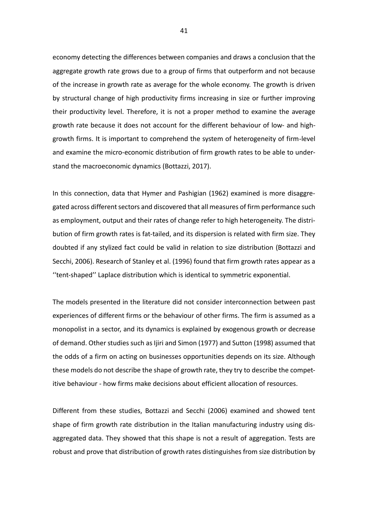economy detecting the differences between companies and draws a conclusion that the aggregate growth rate grows due to a group of firms that outperform and not because of the increase in growth rate as average for the whole economy. The growth is driven by structural change of high productivity firms increasing in size or further improving their productivity level. Therefore, it is not a proper method to examine the average growth rate because it does not account for the different behaviour of low- and highgrowth firms. It is important to comprehend the system of heterogeneity of firm-level and examine the micro-economic distribution of firm growth rates to be able to understand the macroeconomic dynamics (Bottazzi, 2017).

In this connection, data that Hymer and Pashigian (1962) examined is more disaggregated across different sectors and discovered that all measures of firm performance such as employment, output and their rates of change refer to high heterogeneity. The distribution of firm growth rates is fat-tailed, and its dispersion is related with firm size. They doubted if any stylized fact could be valid in relation to size distribution (Bottazzi and Secchi, 2006). Research of Stanley et al. (1996) found that firm growth rates appear as a ''tent-shaped'' Laplace distribution which is identical to symmetric exponential.

The models presented in the literature did not consider interconnection between past experiences of different firms or the behaviour of other firms. The firm is assumed as a monopolist in a sector, and its dynamics is explained by exogenous growth or decrease of demand. Other studies such as Ijiri and Simon (1977) and Sutton (1998) assumed that the odds of a firm on acting on businesses opportunities depends on its size. Although these models do not describe the shape of growth rate, they try to describe the competitive behaviour - how firms make decisions about efficient allocation of resources.

Different from these studies, Bottazzi and Secchi (2006) examined and showed tent shape of firm growth rate distribution in the Italian manufacturing industry using disaggregated data. They showed that this shape is not a result of aggregation. Tests are robust and prove that distribution of growth rates distinguishes from size distribution by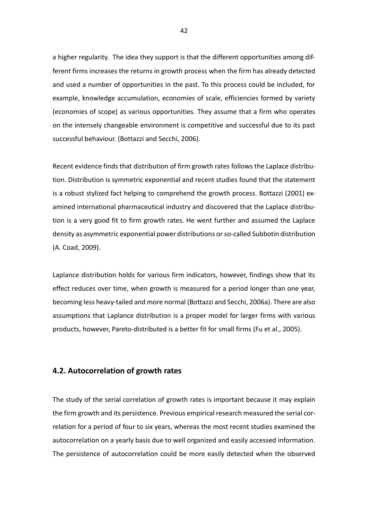a higher regularity. The idea they support is that the different opportunities among different firms increases the returns in growth process when the firm has already detected and used a number of opportunities in the past. To this process could be included, for example, knowledge accumulation, economies of scale, efficiencies formed by variety (economies of scope) as various opportunities. They assume that a firm who operates on the intensely changeable environment is competitive and successful due to its past successful behaviour. (Bottazzi and Secchi, 2006).

Recent evidence finds that distribution of firm growth rates follows the Laplace distribution. Distribution is symmetric exponential and recent studies found that the statement is a robust stylized fact helping to comprehend the growth process. Bottazzi (2001) examined international pharmaceutical industry and discovered that the Laplace distribution is a very good fit to firm growth rates. He went further and assumed the Laplace density as asymmetric exponential power distributions or so-called Subbotin distribution (A. Coad, 2009).

Laplance distribution holds for various firm indicators, however, findings show that its effect reduces over time, when growth is measured for a period longer than one year, becoming less heavy-tailed and more normal (Bottazzi and Secchi, 2006a). There are also assumptions that Laplance distribution is a proper model for larger firms with various products, however, Pareto-distributed is a better fit for small firms (Fu et al., 2005).

#### **4.2. Autocorrelation of growth rates**

The study of the serial correlation of growth rates is important because it may explain the firm growth and its persistence. Previous empirical research measured the serial correlation for a period of four to six years, whereas the most recent studies examined the autocorrelation on a yearly basis due to well organized and easily accessed information. The persistence of autocorrelation could be more easily detected when the observed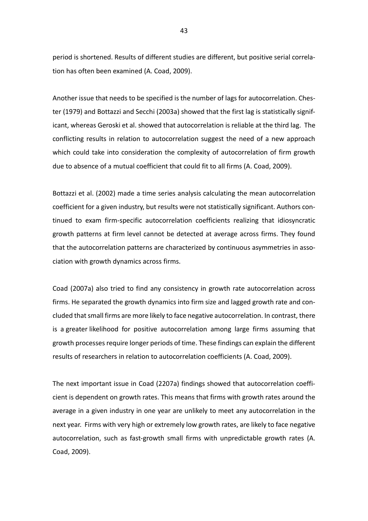period is shortened. Results of different studies are different, but positive serial correlation has often been examined (A. Coad, 2009).

Another issue that needs to be specified is the number of lags for autocorrelation. Chester (1979) and Bottazzi and Secchi (2003a) showed that the first lag is statistically significant, whereas Geroski et al. showed that autocorrelation is reliable at the third lag. The conflicting results in relation to autocorrelation suggest the need of a new approach which could take into consideration the complexity of autocorrelation of firm growth due to absence of a mutual coefficient that could fit to all firms (A. Coad, 2009).

Bottazzi et al. (2002) made a time series analysis calculating the mean autocorrelation coefficient for a given industry, but results were not statistically significant. Authors continued to exam firm-specific autocorrelation coefficients realizing that idiosyncratic growth patterns at firm level cannot be detected at average across firms. They found that the autocorrelation patterns are characterized by continuous asymmetries in association with growth dynamics across firms.

Coad (2007a) also tried to find any consistency in growth rate autocorrelation across firms. He separated the growth dynamics into firm size and lagged growth rate and concluded that small firms are more likely to face negative autocorrelation. In contrast, there is a greater likelihood for positive autocorrelation among large firms assuming that growth processes require longer periods of time. These findings can explain the different results of researchers in relation to autocorrelation coefficients (A. Coad, 2009).

The next important issue in Coad (2207a) findings showed that autocorrelation coefficient is dependent on growth rates. This means that firms with growth rates around the average in a given industry in one year are unlikely to meet any autocorrelation in the next year. Firms with very high or extremely low growth rates, are likely to face negative autocorrelation, such as fast-growth small firms with unpredictable growth rates (A. Coad, 2009).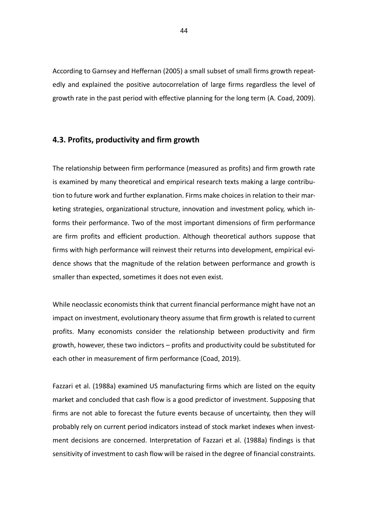According to Garnsey and Heffernan (2005) a small subset of small firms growth repeatedly and explained the positive autocorrelation of large firms regardless the level of growth rate in the past period with effective planning for the long term (A. Coad, 2009).

#### **4.3. Profits, productivity and firm growth**

The relationship between firm performance (measured as profits) and firm growth rate is examined by many theoretical and empirical research texts making a large contribution to future work and further explanation. Firms make choices in relation to their marketing strategies, organizational structure, innovation and investment policy, which informs their performance. Two of the most important dimensions of firm performance are firm profits and efficient production. Although theoretical authors suppose that firms with high performance will reinvest their returns into development, empirical evidence shows that the magnitude of the relation between performance and growth is smaller than expected, sometimes it does not even exist.

While neoclassic economists think that current financial performance might have not an impact on investment, evolutionary theory assume that firm growth is related to current profits. Many economists consider the relationship between productivity and firm growth, however, these two indictors – profits and productivity could be substituted for each other in measurement of firm performance (Coad, 2019).

Fazzari et al. (1988a) examined US manufacturing firms which are listed on the equity market and concluded that cash flow is a good predictor of investment. Supposing that firms are not able to forecast the future events because of uncertainty, then they will probably rely on current period indicators instead of stock market indexes when investment decisions are concerned. Interpretation of Fazzari et al. (1988a) findings is that sensitivity of investment to cash flow will be raised in the degree of financial constraints.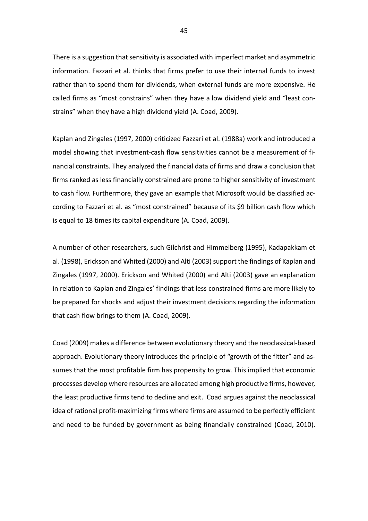There is a suggestion that sensitivity is associated with imperfect market and asymmetric information. Fazzari et al. thinks that firms prefer to use their internal funds to invest rather than to spend them for dividends, when external funds are more expensive. He called firms as "most constrains" when they have a low dividend yield and "least constrains" when they have a high dividend yield (A. Coad, 2009).

Kaplan and Zingales (1997, 2000) criticized Fazzari et al. (1988a) work and introduced a model showing that investment-cash flow sensitivities cannot be a measurement of financial constraints. They analyzed the financial data of firms and draw a conclusion that firms ranked as less financially constrained are prone to higher sensitivity of investment to cash flow. Furthermore, they gave an example that Microsoft would be classified according to Fazzari et al. as "most constrained" because of its \$9 billion cash flow which is equal to 18 times its capital expenditure (A. Coad, 2009).

A number of other researchers, such Gilchrist and Himmelberg (1995), Kadapakkam et al. (1998), Erickson and Whited (2000) and Alti (2003) support the findings of Kaplan and Zingales (1997, 2000). Erickson and Whited (2000) and Alti (2003) gave an explanation in relation to Kaplan and Zingales' findings that less constrained firms are more likely to be prepared for shocks and adjust their investment decisions regarding the information that cash flow brings to them (A. Coad, 2009).

Coad (2009) makes a difference between evolutionary theory and the neoclassical-based approach. Evolutionary theory introduces the principle of "growth of the fitter" and assumes that the most profitable firm has propensity to grow. This implied that economic processes develop where resources are allocated among high productive firms, however, the least productive firms tend to decline and exit. Coad argues against the neoclassical idea of rational profit-maximizing firms where firms are assumed to be perfectly efficient and need to be funded by government as being financially constrained (Coad, 2010).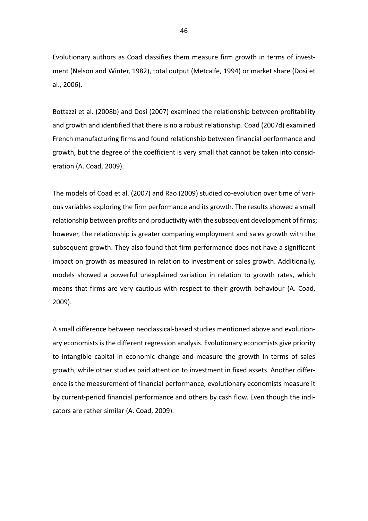Evolutionary authors as Coad classifies them measure firm growth in terms of investment [\(Nelson and Winter, 1982\)](https://www-sciencedirect-com.proxy.uwasa.fi/science/article/pii/S0954349X10000317?via%3Dihub#bib96), total output [\(Metcalfe, 1994\)](https://www-sciencedirect-com.proxy.uwasa.fi/science/article/pii/S0954349X10000317?via%3Dihub#bib90) or market share [\(Dosi et](https://www-sciencedirect-com.proxy.uwasa.fi/science/article/pii/S0954349X10000317?via%3Dihub#bib46)  [al., 2006\)](https://www-sciencedirect-com.proxy.uwasa.fi/science/article/pii/S0954349X10000317?via%3Dihub#bib46).

Bottazzi et al. (2008b) and Dosi (2007) examined the relationship between profitability and growth and identified that there is no a robust relationship. Coad (2007d) examined French manufacturing firms and found relationship between financial performance and growth, but the degree of the coefficient is very small that cannot be taken into consideration (A. Coad, 2009).

The models of Coad et al. (2007) and Rao (2009) studied co-evolution over time of various variables exploring the firm performance and its growth. The results showed a small relationship between profits and productivity with the subsequent development of firms; however, the relationship is greater comparing employment and sales growth with the subsequent growth. They also found that firm performance does not have a significant impact on growth as measured in relation to investment or sales growth. Additionally, models showed a powerful unexplained variation in relation to growth rates, which means that firms are very cautious with respect to their growth behaviour (A. Coad, 2009).

A small difference between neoclassical-based studies mentioned above and evolutionary economists is the different regression analysis. Evolutionary economists give priority to intangible capital in economic change and measure the growth in terms of sales growth, while other studies paid attention to investment in fixed assets. Another difference is the measurement of financial performance, evolutionary economists measure it by current-period financial performance and others by cash flow. Even though the indicators are rather similar (A. Coad, 2009).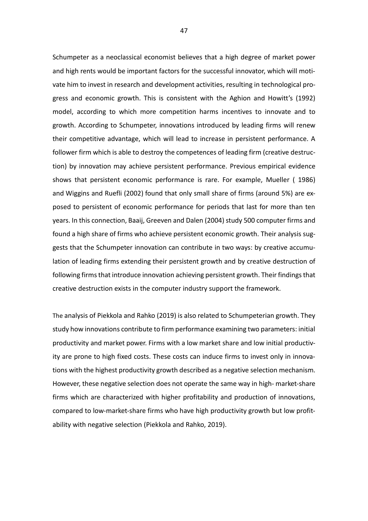Schumpeter as a neoclassical economist believes that a high degree of market power and high rents would be important factors for the successful innovator, which will motivate him to invest in research and development activities, resulting in technological progress and economic growth. This is consistent with the Aghion and Howitt's (1992) model, according to which more competition harms incentives to innovate and to growth. According to Schumpeter, innovations introduced by leading firms will renew their competitive advantage, which will lead to increase in persistent performance. A follower firm which is able to destroy the competences of leading firm (creative destruction) by innovation may achieve persistent performance. Previous empirical evidence shows that persistent economic performance is rare. For example, [Mueller \( 1986\)](https://www-sciencedirect-com.proxy.uwasa.fi/science/article/pii/S0263237304000921?via%3Dihub#bib14) and [Wiggins and Ruefli \(2002\)](https://www-sciencedirect-com.proxy.uwasa.fi/science/article/pii/S0263237304000921?via%3Dihub#bib26) found that only small share of firms (around 5%) are exposed to persistent of economic performance for periods that last for more than ten years. In this connection[, Baaij,](https://www-sciencedirect-com.proxy.uwasa.fi/science/article/pii/S0263237304000921?via%3Dihub#!) [Greeven](https://www-sciencedirect-com.proxy.uwasa.fi/science/article/pii/S0263237304000921?via%3Dihub#!) [and Dalen](https://www-sciencedirect-com.proxy.uwasa.fi/science/article/pii/S0263237304000921?via%3Dihub#!) (2004) study 500 computer firms and found a high share of firms who achieve persistent economic growth. Their analysis suggests that the Schumpeter innovation can contribute in two ways: by creative accumulation of leading firms extending their persistent growth and by creative destruction of following firms that introduce innovation achieving persistent growth. Their findings that creative destruction exists in the computer industry support the framework.

The analysis of Piekkola and Rahko (2019) is also related to Schumpeterian growth. They study how innovations contribute to firm performance examining two parameters: initial productivity and market power. Firms with a low market share and low initial productivity are prone to high fixed costs. These costs can induce firms to invest only in innovations with the highest productivity growth described as a negative selection mechanism. However, these negative selection does not operate the same way in high- market-share firms which are characterized with higher profitability and production of innovations, compared to low-market-share firms who have high productivity growth but low profitability with negative selection (Piekkola and Rahko, 2019).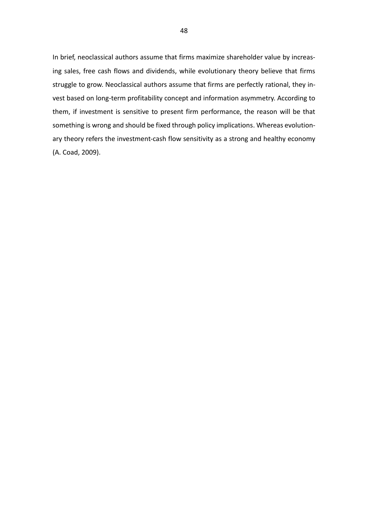In brief, neoclassical authors assume that firms maximize shareholder value by increasing sales, free cash flows and dividends, while evolutionary theory believe that firms struggle to grow. Neoclassical authors assume that firms are perfectly rational, they invest based on long-term profitability concept and information asymmetry. According to them, if investment is sensitive to present firm performance, the reason will be that something is wrong and should be fixed through policy implications. Whereas evolutionary theory refers the investment-cash flow sensitivity as a strong and healthy economy (A. Coad, 2009).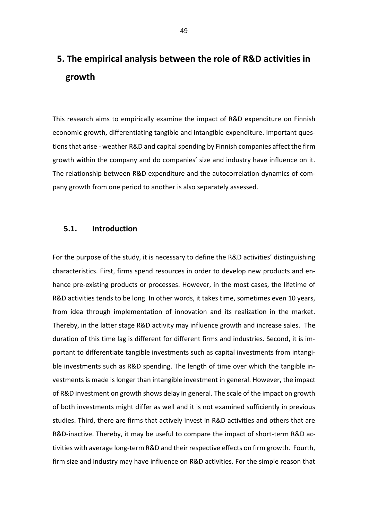# **5. The empirical analysis between the role of R&D activities in growth**

This research aims to empirically examine the impact of R&D expenditure on Finnish economic growth, differentiating tangible and intangible expenditure. Important questions that arise - weather R&D and capital spending by Finnish companies affect the firm growth within the company and do companies' size and industry have influence on it. The relationship between R&D expenditure and the autocorrelation dynamics of company growth from one period to another is also separately assessed.

## **5.1. Introduction**

For the purpose of the study, it is necessary to define the R&D activities' distinguishing characteristics. First, firms spend resources in order to develop new products and enhance pre-existing products or processes. However, in the most cases, the lifetime of R&D activities tends to be long. In other words, it takes time, sometimes even 10 years, from idea through implementation of innovation and its realization in the market. Thereby, in the latter stage R&D activity may influence growth and increase sales. The duration of this time lag is different for different firms and industries. Second, it is important to differentiate tangible investments such as capital investments from intangible investments such as R&D spending. The length of time over which the tangible investments is made is longer than intangible investment in general. However, the impact of R&D investment on growth shows delay in general. The scale of the impact on growth of both investments might differ as well and it is not examined sufficiently in previous studies. Third, there are firms that actively invest in R&D activities and others that are R&D-inactive. Thereby, it may be useful to compare the impact of short-term R&D activities with average long-term R&D and their respective effects on firm growth. Fourth, firm size and industry may have influence on R&D activities. For the simple reason that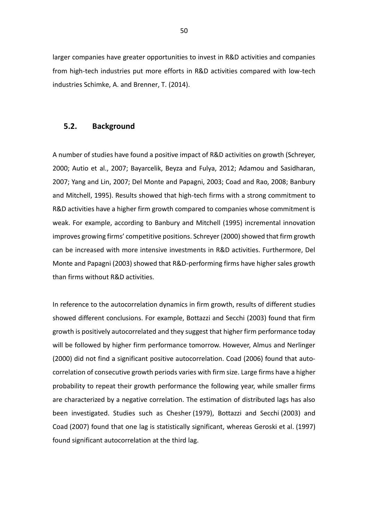larger companies have greater opportunities to invest in R&D activities and companies from high-tech industries put more efforts in R&D activities compared with low-tech industries [Schimke, A.](https://www-emerald-com.proxy.uwasa.fi/insight/search?q=Antje%20Schimke) and [Brenner, T.](https://www-emerald-com.proxy.uwasa.fi/insight/search?q=Thomas%20Brenner) (2014).

#### **5.2. Background**

A number of studies have found a positive impact of R&D activities on growth (Schreyer, 2000; Autio et al., 2007; Bayarcelik, Beyza and Fulya, 2012; Adamou and Sasidharan, 2007; Yang and Lin, 2007; Del Monte and Papagni, 2003; Coad and Rao, 2008; Banbury and Mitchell, 1995). Results showed that high-tech firms with a strong commitment to R&D activities have a higher firm growth compared to companies whose commitment is weak. For example, according to Banbury and Mitchell (1995) incremental innovation improves growing firms' competitive positions. Schreyer (2000) showed that firm growth can be increased with more intensive investments in R&D activities. Furthermore, Del Monte and Papagni (2003) showed that R&D-performing firms have higher sales growth than firms without R&D activities.

In reference to the autocorrelation dynamics in firm growth, results of different studies showed different conclusions. For example, Bottazzi and Secchi (2003) found that firm growth is positively autocorrelated and they suggest that higher firm performance today will be followed by higher firm performance tomorrow. However, Almus and Nerlinger (2000) did not find a significant positive autocorrelation. Coad (2006) found that autocorrelation of consecutive growth periods varies with firm size. Large firms have a higher probability to repeat their growth performance the following year, while smaller firms are characterized by a negative correlation. The estimation of distributed lags has also been investigated. Studies such as Chesher [\(1979\)](https://link-springer-com.proxy.uwasa.fi/article/10.1007/s10842-009-0048-3#ref-CR16), Bottazzi and Secchi [\(2003\)](https://link-springer-com.proxy.uwasa.fi/article/10.1007/s10842-009-0048-3#ref-CR13) and Coad [\(2007\)](https://link-springer-com.proxy.uwasa.fi/article/10.1007/s10842-009-0048-3#ref-CR17) found that one lag is statistically significant, whereas Geroski et al. [\(1997\)](https://link-springer-com.proxy.uwasa.fi/article/10.1007/s10842-009-0048-3#ref-CR28) found significant autocorrelation at the third lag.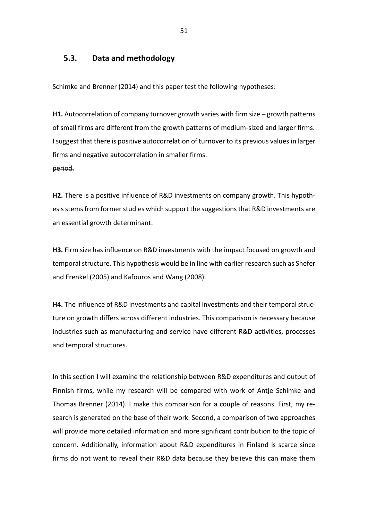## **5.3. Data and methodology**

Schimke and Brenner (2014) and this paper test the following hypotheses:

**H1.** Autocorrelation of company turnover growth varies with firm size – growth patterns of small firms are different from the growth patterns of medium-sized and larger firms. I suggest that there is positive autocorrelation of turnover to its previous values in larger firms and negative autocorrelation in smaller firms. period.

**H2.** There is a positive influence of R&D investments on company growth. This hypothesis stems from former studies which support the suggestions that R&D investments are an essential growth determinant.

**H3.** Firm size has influence on R&D investments with the impact focused on growth and temporal structure. This hypothesis would be in line with earlier research such as Shefer and Frenkel (2005) and Kafouros and Wang (2008).

**H4.** The influence of R&D investments and capital investments and their temporal structure on growth differs across different industries. This comparison is necessary because industries such as manufacturing and service have different R&D activities, processes and temporal structures.

In this section I will examine the relationship between R&D expenditures and output of Finnish firms, while my research will be compared with work of Antje Schimke and Thomas Brenner (2014). I make this comparison for a couple of reasons. First, my research is generated on the base of their work. Second, a comparison of two approaches will provide more detailed information and more significant contribution to the topic of concern. Additionally, information about R&D expenditures in Finland is scarce since firms do not want to reveal their R&D data because they believe this can make them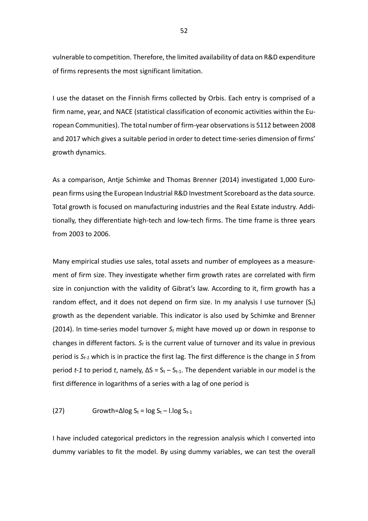vulnerable to competition. Therefore, the limited availability of data on R&D expenditure of firms represents the most significant limitation.

I use the dataset on the Finnish firms collected by Orbis. Each entry is comprised of a firm name, year, and NACE (statistical classification of economic activities within the European Communities). The total number of firm-year observations is 5112 between 2008 and 2017 which gives a suitable period in order to detect time-series dimension of firms' growth dynamics.

As a comparison, Antje Schimke and Thomas Brenner (2014) investigated 1,000 European firms using the European Industrial R&D Investment Scoreboard as the data source. Total growth is focused on manufacturing industries and the Real Estate industry. Additionally, they differentiate high-tech and low-tech firms. The time frame is three years from 2003 to 2006.

Many empirical studies use sales, total assets and number of employees as a measurement of firm size. They investigate whether firm growth rates are correlated with firm size in conjunction with the validity of Gibrat's law. According to it, firm growth has a random effect, and it does not depend on firm size. In my analysis I use turnover  $(S_t)$ growth as the dependent variable. This indicator is also used by Schimke and Brenner (2014). In time-series model turnover *S<sup>t</sup>* might have moved up or down in response to changes in different factors. *S<sup>t</sup>* is the current value of turnover and its value in previous period is *St-1* which is in practice the first lag. The first difference is the change in *S* from period *t-1* to period *t*, namely,  $\Delta S = S_t - S_{t-1}$ . The dependent variable in our model is the first difference in logarithms of a series with a lag of one period is

(27) 
$$
Growth = \Delta \log S_t = \log S_t - 1. \log S_{t-1}
$$

I have included categorical predictors in the regression analysis which I converted into dummy variables to fit the model. By using dummy variables, we can test the overall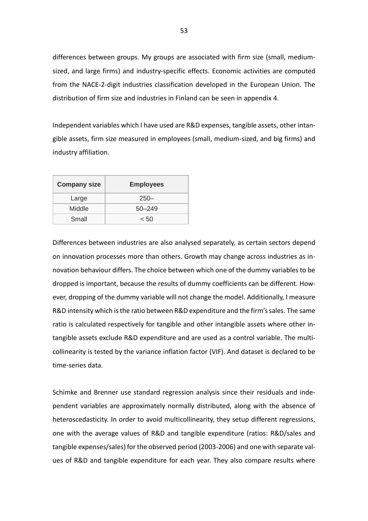differences between groups. My groups are associated with firm size (small, mediumsized, and large firms) and industry-specific effects. Economic activities are computed from the NACE-2-digit industries classification developed in the European Union. The distribution of firm size and industries in Finland can be seen in appendix 4.

Independent variables which I have used are R&D expenses, tangible assets, other intangible assets, firm size measured in employees (small, medium-sized, and big firms) and industry affiliation.

| <b>Company size</b> | <b>Employees</b> |
|---------------------|------------------|
| Large               | $250 -$          |
| Middle              | $50 - 249$       |
| Small               | < 50             |

Differences between industries are also analysed separately, as certain sectors depend on innovation processes more than others. Growth may change across industries as innovation behaviour differs. The choice between which one of the dummy variables to be dropped is important, because the results of dummy coefficients can be different. However, dropping of the dummy variable will not change the model. Additionally, I measure R&D intensity which is the ratio between R&D expenditure and the firm's sales. The same ratio is calculated respectively for tangible and other intangible assets where other intangible assets exclude R&D expenditure and are used as a control variable. The multicollinearity is tested by the variance inflation factor (VIF). And dataset is declared to be time-series data.

Schimke and Brenner use standard regression analysis since their residuals and independent variables are approximately normally distributed, along with the absence of heteroscedasticity. In order to avoid multicollinearity, they setup different regressions, one with the average values of R&D and tangible expenditure (ratios: R&D/sales and tangible expenses/sales) for the observed period (2003-2006) and one with separate values of R&D and tangible expenditure for each year. They also compare results where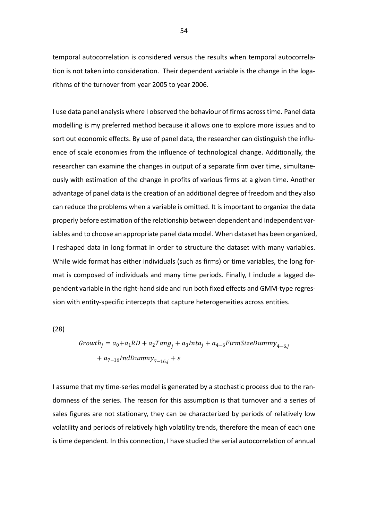temporal autocorrelation is considered versus the results when temporal autocorrelation is not taken into consideration. Their dependent variable is the change in the logarithms of the turnover from year 2005 to year 2006.

I use data panel analysis where I observed the behaviour of firms across time. Panel data modelling is my preferred method because it allows one to explore more issues and to sort out economic effects. By use of panel data, the researcher can distinguish the influence of scale economies from the influence of technological change. Additionally, the researcher can examine the changes in output of a separate firm over time, simultaneously with estimation of the change in profits of various firms at a given time. Another advantage of panel data is the creation of an additional degree of freedom and they also can reduce the problems when a variable is omitted. It is important to organize the data properly before estimation of the relationship between dependent and independent variables and to choose an appropriate panel data model. When dataset has been organized, I reshaped data in long format in order to structure the dataset with many variables. While wide format has either individuals (such as firms) or time variables, the long format is composed of individuals and many time periods. Finally, I include a lagged dependent variable in the right-hand side and run both fixed effects and GMM-type regression with entity-specific intercepts that capture heterogeneities across entities.

(28)

$$
\begin{aligned} Growth_j &= a_0 + a_1 RD + a_2 Tang_j + a_3 Inta_j + a_{4-6} FirmSize Dummy_{4-6,j} \\ &+ a_{7-16} IndDummy_{7-16,j} + \varepsilon \end{aligned}
$$

I assume that my time-series model is generated by a stochastic process due to the randomness of the series. The reason for this assumption is that turnover and a series of sales figures are not stationary, they can be characterized by periods of relatively low volatility and periods of relatively high volatility trends, therefore the mean of each one is time dependent. In this connection, I have studied the serial autocorrelation of annual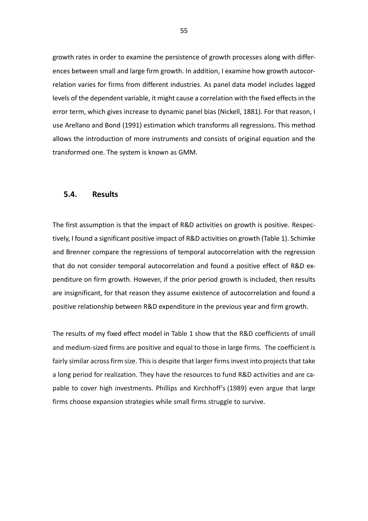growth rates in order to examine the persistence of growth processes along with differences between small and large firm growth. In addition, I examine how growth autocorrelation varies for firms from different industries. As panel data model includes lagged levels of the dependent variable, it might cause a correlation with the fixed effects in the error term, which gives increase to dynamic panel bias (Nickell, 1881). For that reason, I use Arellano and Bond (1991) estimation which transforms all regressions. This method allows the introduction of more instruments and consists of original equation and the transformed one. The system is known as GMM.

### **5.4. Results**

The first assumption is that the impact of R&D activities on growth is positive. Respectively, I found a significant positive impact of R&D activities on growth (Table 1). Schimke and Brenner compare the regressions of temporal autocorrelation with the regression that do not consider temporal autocorrelation and found a positive effect of R&D expenditure on firm growth. However, if the prior period growth is included, then results are insignificant, for that reason they assume existence of autocorrelation and found a positive relationship between R&D expenditure in the previous year and firm growth.

The results of my fixed effect model in Table 1 show that the R&D coefficients of small and medium-sized firms are positive and equal to those in large firms. The coefficient is fairly similar across firm size. This is despite that larger firms invest into projects that take a long period for realization. They have the resources to fund R&D activities and are capable to cover high investments. Phillips and Kirchhoff's [\(1989\)](https://link.springer.com/article/10.1007/s10842-009-0048-3#ref-CR51) even argue that large firms choose expansion strategies while small firms struggle to survive.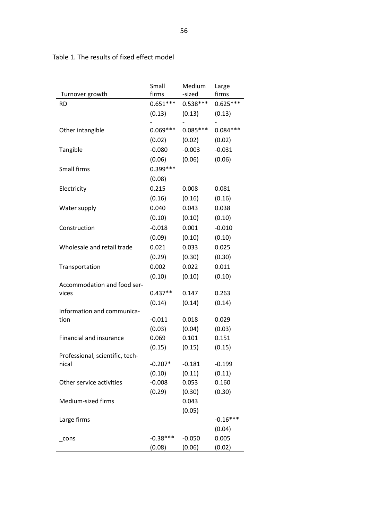|                                          | Small      | Medium     | Large      |
|------------------------------------------|------------|------------|------------|
| Turnover growth                          | firms      | -sized     | firms      |
| <b>RD</b>                                | $0.651***$ | $0.538***$ | $0.625***$ |
|                                          | (0.13)     | (0.13)     | (0.13)     |
|                                          |            |            |            |
| Other intangible                         | $0.069***$ | $0.085***$ | $0.084***$ |
|                                          | (0.02)     | (0.02)     | (0.02)     |
| Tangible                                 | $-0.080$   | $-0.003$   | $-0.031$   |
|                                          | (0.06)     | (0.06)     | (0.06)     |
| Small firms                              | $0.399***$ |            |            |
|                                          | (0.08)     |            |            |
| Electricity                              | 0.215      | 0.008      | 0.081      |
|                                          | (0.16)     | (0.16)     | (0.16)     |
| Water supply                             | 0.040      | 0.043      | 0.038      |
|                                          | (0.10)     | (0.10)     | (0.10)     |
| Construction                             | $-0.018$   | 0.001      | $-0.010$   |
|                                          | (0.09)     | (0.10)     | (0.10)     |
| Wholesale and retail trade               | 0.021      | 0.033      | 0.025      |
|                                          | (0.29)     | (0.30)     | (0.30)     |
| Transportation                           | 0.002      | 0.022      | 0.011      |
|                                          | (0.10)     | (0.10)     | (0.10)     |
| Accommodation and food ser-              |            |            |            |
| vices                                    | $0.437**$  | 0.147      | 0.263      |
|                                          | (0.14)     | (0.14)     | (0.14)     |
| Information and communica-               |            |            |            |
| tion                                     | $-0.011$   | 0.018      | 0.029      |
|                                          | (0.03)     | (0.04)     | (0.03)     |
| Financial and insurance                  | 0.069      | 0.101      | 0.151      |
|                                          | (0.15)     | (0.15)     | (0.15)     |
| Professional, scientific, tech-<br>nical | $-0.207*$  | $-0.181$   | $-0.199$   |
|                                          | (0.10)     | (0.11)     | (0.11)     |
| Other service activities                 | $-0.008$   | 0.053      | 0.160      |
|                                          | (0.29)     | (0.30)     | (0.30)     |
| Medium-sized firms                       |            | 0.043      |            |
|                                          |            | (0.05)     |            |
| Large firms                              |            |            | $-0.16***$ |
|                                          |            |            | (0.04)     |
| cons                                     | $-0.38***$ | $-0.050$   | 0.005      |
|                                          | (0.08)     | (0.06)     | (0.02)     |

## Table 1. The results of fixed effect model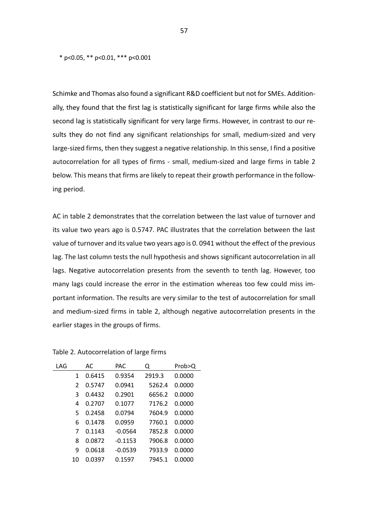\* p<0.05, \*\* p<0.01, \*\*\* p<0.001

Schimke and Thomas also found a significant R&D coefficient but not for SMEs. Additionally, they found that the first lag is statistically significant for large firms while also the second lag is statistically significant for very large firms. However, in contrast to our results they do not find any significant relationships for small, medium-sized and very large-sized firms, then they suggest a negative relationship. In this sense, I find a positive autocorrelation for all types of firms - small, medium-sized and large firms in table 2 below. This means that firms are likely to repeat their growth performance in the following period.

AC in table 2 demonstrates that the correlation between the last value of turnover and its value two years ago is 0.5747. PAC illustrates that the correlation between the last value of turnover and its value two years ago is 0. 0941 without the effect of the previous lag. The last column tests the null hypothesis and shows significant autocorrelation in all lags. Negative autocorrelation presents from the seventh to tenth lag. However, too many lags could increase the error in the estimation whereas too few could miss important information. The results are very similar to the test of autocorrelation for small and medium-sized firms in table 2, although negative autocorrelation presents in the earlier stages in the groups of firms.

| LAG |               | AC     | PAC       | Q      | Prob>Q |
|-----|---------------|--------|-----------|--------|--------|
|     | 1             | 0.6415 | 0.9354    | 2919.3 | 0.0000 |
|     | $\mathfrak z$ | 0.5747 | 0.0941    | 5262.4 | 0.0000 |
|     | 3             | 0.4432 | 0.2901    | 6656.2 | 0.0000 |
|     | 4             | 0.2707 | 0.1077    | 7176.2 | 0.0000 |
|     | 5             | 0.2458 | 0.0794    | 7604.9 | 0.0000 |
|     | 6             | 0.1478 | 0.0959    | 7760.1 | 0.0000 |
|     | 7             | 0.1143 | $-0.0564$ | 7852.8 | 0.0000 |
|     | 8             | 0.0872 | $-0.1153$ | 7906.8 | 0.0000 |
|     | 9             | 0.0618 | $-0.0539$ | 7933.9 | 0.0000 |
|     | 10            | 0.0397 | 0.1597    | 7945.1 | 0.0000 |

Table 2. Autocorrelation of large firms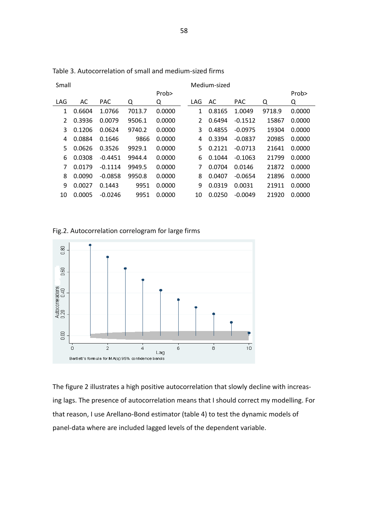| Small | Medium-sized |            |        |        |     |        |            |        |        |
|-------|--------------|------------|--------|--------|-----|--------|------------|--------|--------|
|       |              |            |        | Prob>  |     |        |            |        | Prob>  |
| LAG   | AC           | <b>PAC</b> | Q      | Q      | LAG | AC     | <b>PAC</b> | Q      | Q      |
| 1     | 0.6604       | 1.0766     | 7013.7 | 0.0000 | 1   | 0.8165 | 1.0049     | 9718.9 | 0.0000 |
| 2     | 0.3936       | 0.0079     | 9506.1 | 0.0000 | 2   | 0.6494 | $-0.1512$  | 15867  | 0.0000 |
| 3     | 0.1206       | 0.0624     | 9740.2 | 0.0000 | 3   | 0.4855 | $-0.0975$  | 19304  | 0.0000 |
| 4     | 0.0884       | 0.1646     | 9866   | 0.0000 | 4   | 0.3394 | $-0.0837$  | 20985  | 0.0000 |
| 5     | 0.0626       | 0.3526     | 9929.1 | 0.0000 | 5.  | 0.2121 | $-0.0713$  | 21641  | 0.0000 |
| 6     | 0.0308       | $-0.4451$  | 9944.4 | 0.0000 | 6   | 0.1044 | $-0.1063$  | 21799  | 0.0000 |
| 7     | 0.0179       | $-0.1114$  | 9949.5 | 0.0000 | 7   | 0.0704 | 0.0146     | 21872  | 0.0000 |
| 8     | 0.0090       | $-0.0858$  | 9950.8 | 0.0000 | 8   | 0.0407 | $-0.0654$  | 21896  | 0.0000 |
| 9     | 0.0027       | 0.1443     | 9951   | 0.0000 | 9   | 0.0319 | 0.0031     | 21911  | 0.0000 |
| 10    | 0.0005       | $-0.0246$  | 9951   | 0.0000 | 10  | 0.0250 | $-0.0049$  | 21920  | 0.0000 |
|       |              |            |        |        |     |        |            |        |        |

Table 3. Autocorrelation of small and medium-sized firms

Fig.2. Autocorrelation correlogram for large firms



The figure 2 illustrates a high positive autocorrelation that slowly decline with increasing lags. The presence of autocorrelation means that I should correct my modelling. For that reason, I use Arellano-Bond estimator (table 4) to test the dynamic models of panel-data where are included lagged levels of the dependent variable.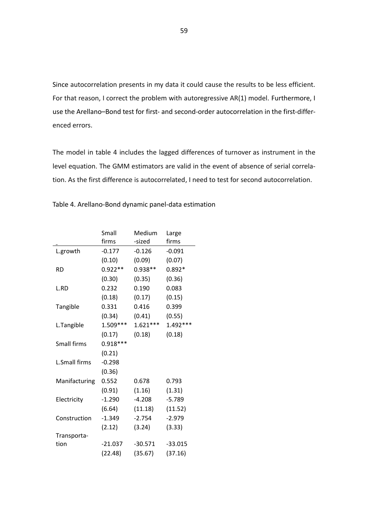Since autocorrelation presents in my data it could cause the results to be less efficient. For that reason, I correct the problem with autoregressive AR(1) model. Furthermore, I use the Arellano–Bond test for first- and second-order autocorrelation in the first-differenced errors.

The model in table 4 includes the lagged differences of turnover as instrument in the level equation. The GMM estimators are valid in the event of absence of serial correlation. As the first difference is autocorrelated, I need to test for second autocorrelation.

|                      | Small      | Medium     | Large      |
|----------------------|------------|------------|------------|
|                      | firms      | -sized     | firms      |
| L.growth             | $-0.177$   | $-0.126$   | $-0.091$   |
|                      | (0.10)     | (0.09)     | (0.07)     |
| <b>RD</b>            | $0.922**$  | $0.938**$  | $0.892*$   |
|                      | (0.30)     | (0.35)     | (0.36)     |
| L.RD                 | 0.232      | 0.190      | 0.083      |
|                      | (0.18)     | (0.17)     | (0.15)     |
| Tangible             | 0.331      | 0.416      | 0.399      |
|                      | (0.34)     | (0.41)     | (0.55)     |
| L.Tangible           | 1.509 ***  | $1.621***$ | $1.492***$ |
|                      | (0.17)     | (0.18)     | (0.18)     |
| Small firms          | $0.918***$ |            |            |
|                      | (0.21)     |            |            |
| <b>L.Small firms</b> | $-0.298$   |            |            |
|                      | (0.36)     |            |            |
| Manifacturing        | 0.552      | 0.678      | 0.793      |
|                      | (0.91)     | (1.16)     | (1.31)     |
| Electricity          | $-1.290$   | $-4.208$   | $-5.789$   |
|                      | (6.64)     | (11.18)    | (11.52)    |
| Construction         | $-1.349$   | $-2.754$   | $-2.979$   |
|                      | (2.12)     | (3.24)     | (3.33)     |
| Transporta-          |            |            |            |
| tion                 | $-21.037$  | $-30.571$  | $-33.015$  |
|                      | (22.48)    | (35.67)    | (37.16)    |

Table 4. Arellano-Bond dynamic panel-data estimation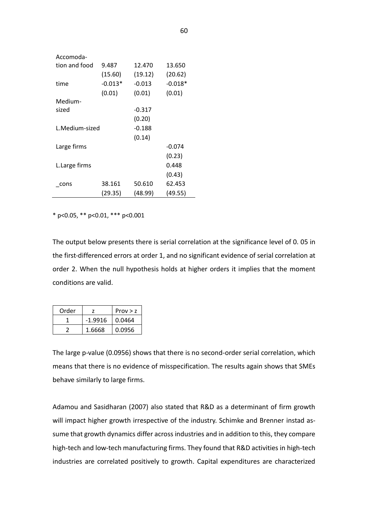| Accomoda-      |           |          |           |
|----------------|-----------|----------|-----------|
| tion and food  | 9.487     | 12.470   | 13.650    |
|                | (15.60)   | (19.12)  | (20.62)   |
| time           | $-0.013*$ | $-0.013$ | $-0.018*$ |
|                | (0.01)    | (0.01)   | (0.01)    |
| Medium-        |           |          |           |
| sized          |           | $-0.317$ |           |
|                |           | (0.20)   |           |
| L.Medium-sized |           | $-0.188$ |           |
|                |           | (0.14)   |           |
| Large firms    |           |          | $-0.074$  |
|                |           |          | (0.23)    |
| L.Large firms  |           |          | 0.448     |
|                |           |          | (0.43)    |
| cons           | 38.161    | 50.610   | 62.453    |
|                | (29.35)   | (48.99)  | (49.55)   |

\* p<0.05, \*\* p<0.01, \*\*\* p<0.001

The output below presents there is serial correlation at the significance level of 0. 05 in the first-differenced errors at order 1, and no significant evidence of serial correlation at order 2. When the null hypothesis holds at higher orders it implies that the moment conditions are valid.

| Order |           | Prov > z |
|-------|-----------|----------|
|       | $-1.9916$ | 0.0464   |
|       | 1.6668    | 0.0956   |

The large p-value (0.0956) shows that there is no second-order serial correlation, which means that there is no evidence of misspecification. The results again shows that SMEs behave similarly to large firms.

Adamou and Sasidharan (2007) also stated that R&D as a determinant of firm growth will impact higher growth irrespective of the industry. Schimke and Brenner instad assume that growth dynamics differ across industries and in addition to this, they compare high-tech and low-tech manufacturing firms. They found that R&D activities in high-tech industries are correlated positively to growth. Capital expenditures are characterized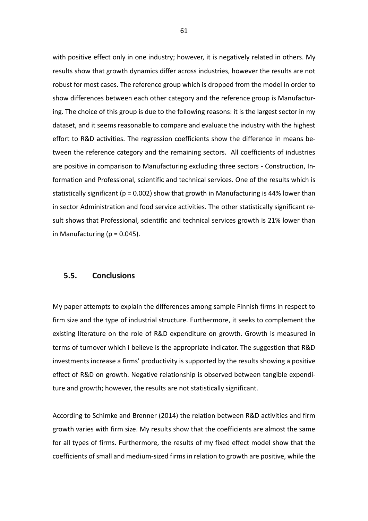with positive effect only in one industry; however, it is negatively related in others. My results show that growth dynamics differ across industries, however the results are not robust for most cases. The reference group which is dropped from the model in order to show differences between each other category and the reference group is Manufacturing. The choice of this group is due to the following reasons: it is the largest sector in my dataset, and it seems reasonable to compare and evaluate the industry with the highest effort to R&D activities. The regression coefficients show the difference in means between the reference category and the remaining sectors. All coefficients of industries are positive in comparison to Manufacturing excluding three sectors - Construction, Information and Professional, scientific and technical services. One of the results which is statistically significant ( $p = 0.002$ ) show that growth in Manufacturing is 44% lower than in sector Administration and food service activities. The other statistically significant result shows that Professional, scientific and technical services growth is 21% lower than in Manufacturing ( $p = 0.045$ ).

### **5.5. Conclusions**

My paper attempts to explain the differences among sample Finnish firms in respect to firm size and the type of industrial structure. Furthermore, it seeks to complement the existing literature on the role of R&D expenditure on growth. Growth is measured in terms of turnover which I believe is the appropriate indicator. The suggestion that R&D investments increase a firms' productivity is supported by the results showing a positive effect of R&D on growth. Negative relationship is observed between tangible expenditure and growth; however, the results are not statistically significant.

According to Schimke and Brenner (2014) the relation between R&D activities and firm growth varies with firm size. My results show that the coefficients are almost the same for all types of firms. Furthermore, the results of my fixed effect model show that the coefficients of small and medium-sized firms in relation to growth are positive, while the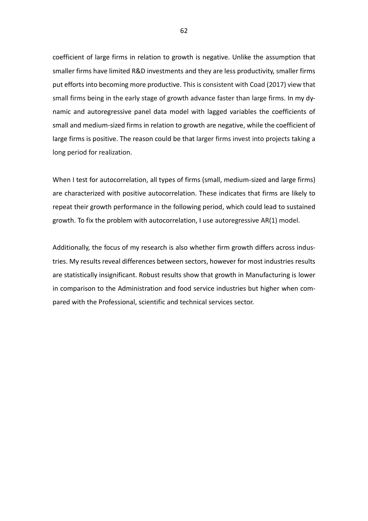coefficient of large firms in relation to growth is negative. Unlike the assumption that smaller firms have limited R&D investments and they are less productivity, smaller firms put efforts into becoming more productive. This is consistent with Coad (2017) view that small firms being in the early stage of growth advance faster than large firms. In my dynamic and autoregressive panel data model with lagged variables the coefficients of small and medium-sized firms in relation to growth are negative, while the coefficient of large firms is positive. The reason could be that larger firms invest into projects taking a long period for realization.

When I test for autocorrelation, all types of firms (small, medium-sized and large firms) are characterized with positive autocorrelation. These indicates that firms are likely to repeat their growth performance in the following period, which could lead to sustained growth. To fix the problem with autocorrelation, I use autoregressive AR(1) model.

Additionally, the focus of my research is also whether firm growth differs across industries. My results reveal differences between sectors, however for most industries results are statistically insignificant. Robust results show that growth in Manufacturing is lower in comparison to the Administration and food service industries but higher when compared with the Professional, scientific and technical services sector.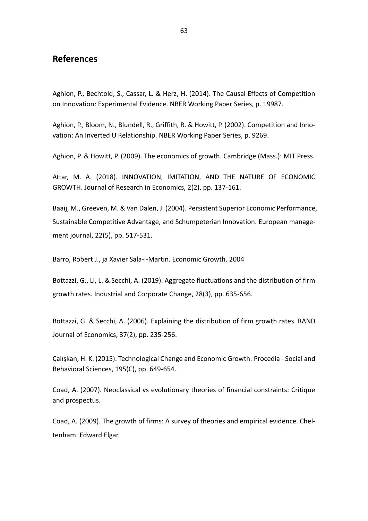## **References**

Aghion, P., Bechtold, S., Cassar, L. & Herz, H. (2014). The Causal Effects of Competition on Innovation: Experimental Evidence. NBER Working Paper Series, p. 19987.

Aghion, P., Bloom, N., Blundell, R., Griffith, R. & Howitt, P. (2002). Competition and Innovation: An Inverted U Relationship. NBER Working Paper Series, p. 9269.

Aghion, P. & Howitt, P. (2009). The economics of growth. Cambridge (Mass.): MIT Press.

Attar, M. A. (2018). INNOVATION, IMITATION, AND THE NATURE OF ECONOMIC GROWTH. Journal of Research in Economics, 2(2), pp. 137-161.

Baaij, M., Greeven, M. & Van Dalen, J. (2004). Persistent Superior Economic Performance, Sustainable Competitive Advantage, and Schumpeterian Innovation. European management journal, 22(5), pp. 517-531.

Barro, Robert J., ja Xavier Sala-i-Martin. Economic Growth. 2004

Bottazzi, G., Li, L. & Secchi, A. (2019). Aggregate fluctuations and the distribution of firm growth rates. Industrial and Corporate Change, 28(3), pp. 635-656.

Bottazzi, G. & Secchi, A. (2006). Explaining the distribution of firm growth rates. RAND Journal of Economics, 37(2), pp. 235-256.

Çalışkan, H. K. (2015). Technological Change and Economic Growth. Procedia - Social and Behavioral Sciences, 195(C), pp. 649-654.

Coad, A. (2007). Neoclassical vs evolutionary theories of financial constraints: Critique and prospectus.

Coad, A. (2009). The growth of firms: A survey of theories and empirical evidence. Cheltenham: Edward Elgar.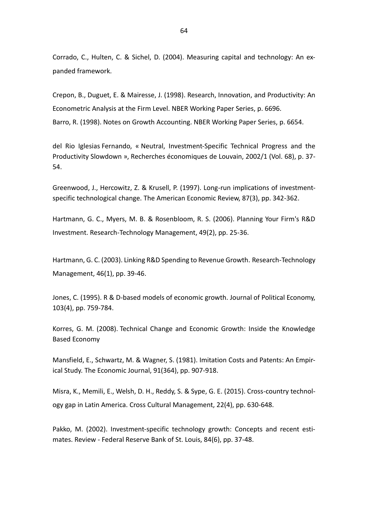Corrado, C., Hulten, C. & Sichel, D. (2004). Measuring capital and technology: An expanded framework.

Crepon, B., Duguet, E. & Mairesse, J. (1998). Research, Innovation, and Productivity: An Econometric Analysis at the Firm Level. NBER Working Paper Series, p. 6696. Barro, R. (1998). Notes on Growth Accounting. NBER Working Paper Series, p. 6654.

del Rio Iglesias Fernando, « Neutral, Investment-Specific Technical Progress and the Productivity Slowdown », Recherches économiques de Louvain, 2002/1 (Vol. 68), p. 37- 54.

Greenwood, J., Hercowitz, Z. & Krusell, P. (1997). Long-run implications of investmentspecific technological change. The American Economic Review, 87(3), pp. 342-362.

Hartmann, G. C., Myers, M. B. & Rosenbloom, R. S. (2006). Planning Your Firm's R&D Investment. Research-Technology Management, 49(2), pp. 25-36.

Hartmann, G. C. (2003). Linking R&D Spending to Revenue Growth. Research-Technology Management, 46(1), pp. 39-46.

Jones, C. (1995). R & D-based models of economic growth. Journal of Political Economy, 103(4), pp. 759-784.

Korres, G. M. (2008). Technical Change and Economic Growth: Inside the Knowledge Based Economy

Mansfield, E., Schwartz, M. & Wagner, S. (1981). Imitation Costs and Patents: An Empirical Study. The Economic Journal, 91(364), pp. 907-918.

Misra, K., Memili, E., Welsh, D. H., Reddy, S. & Sype, G. E. (2015). Cross-country technology gap in Latin America. Cross Cultural Management, 22(4), pp. 630-648.

Pakko, M. (2002). Investment-specific technology growth: Concepts and recent estimates. Review - Federal Reserve Bank of St. Louis, 84(6), pp. 37-48.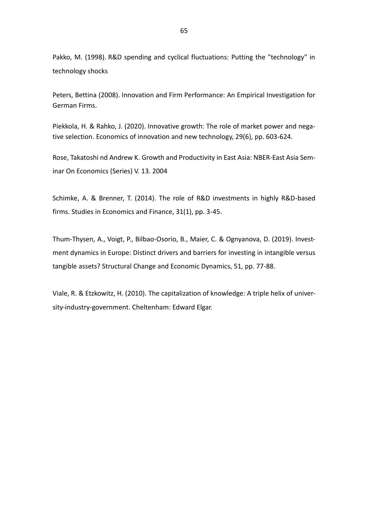Pakko, M. (1998). R&D spending and cyclical fluctuations: Putting the "technology" in technology shocks

Peters, Bettina (2008). Innovation and Firm Performance: An Empirical Investigation for German Firms.

Piekkola, H. & Rahko, J. (2020). Innovative growth: The role of market power and negative selection. Economics of innovation and new technology, 29(6), pp. 603-624.

Rose, Takatoshi nd Andrew K. Growth and Productivity in East Asia: NBER-East Asia Seminar On Economics (Series) V. 13. 2004

Schimke, A. & Brenner, T. (2014). The role of R&D investments in highly R&D-based firms. Studies in Economics and Finance, 31(1), pp. 3-45.

Thum-Thysen, A., Voigt, P., Bilbao-Osorio, B., Maier, C. & Ognyanova, D. (2019). Investment dynamics in Europe: Distinct drivers and barriers for investing in intangible versus tangible assets? Structural Change and Economic Dynamics, 51, pp. 77-88.

Viale, R. & Etzkowitz, H. (2010). The capitalization of knowledge: A triple helix of university-industry-government. Cheltenham: Edward Elgar.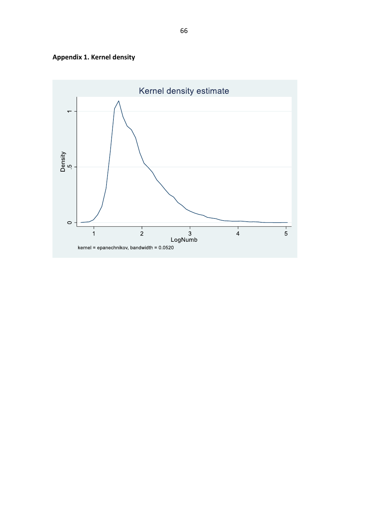

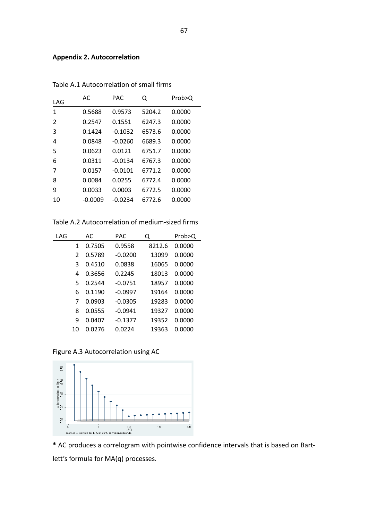#### **Appendix 2. Autocorrelation**

| LAG | AC.     | PAC       | Q      | Prob>Q |
|-----|---------|-----------|--------|--------|
| 1   | 0.5688  | 0.9573    | 5204.2 | 0.0000 |
| 2   | 0.2547  | 0.1551    | 6247.3 | 0.0000 |
| 3   | 0.1424  | $-0.1032$ | 6573.6 | 0.0000 |
| 4   | 0.0848  | $-0.0260$ | 6689.3 | 0.0000 |
| 5   | 0.0623  | 0.0121    | 6751.7 | 0.0000 |
| 6   | 0.0311  | $-0.0134$ | 6767.3 | 0.0000 |
| 7   | 0.0157  | $-0.0101$ | 6771.2 | 0.0000 |
| 8   | 0.0084  | 0.0255    | 6772.4 | 0.0000 |
| 9   | 0.0033  | 0.0003    | 6772.5 | 0.0000 |
| 10  | -0.0009 | $-0.0234$ | 6772.6 | 0.0000 |

Table A.1 Autocorrelation of small firms

Table A.2 Autocorrelation of medium-sized firms

| LAG |               | AC     | PAC       | Q      | Prob>Q |
|-----|---------------|--------|-----------|--------|--------|
|     | 1             | 0.7505 | 0.9558    | 8212.6 | 0.0000 |
|     | $\mathcal{P}$ | 0.5789 | $-0.0200$ | 13099  | 0.0000 |
|     | 3             | 0.4510 | 0.0838    | 16065  | 0.0000 |
|     | 4             | 0.3656 | 0.2245    | 18013  | 0.0000 |
|     | 5             | 0.2544 | $-0.0751$ | 18957  | 0.0000 |
|     | 6             | 0.1190 | $-0.0997$ | 19164  | 0.0000 |
|     | 7             | 0.0903 | $-0.0305$ | 19283  | 0.0000 |
|     | 8             | 0.0555 | $-0.0941$ | 19327  | 0.0000 |
|     | 9             | 0.0407 | $-0.1377$ | 19352  | 0.0000 |
|     | 10            | 0.0276 | 0.0224    | 19363  | 0.0000 |

Figure A.3 Autocorrelation using AC



**\*** AC produces a correlogram with pointwise confidence intervals that is based on Bartlett's formula for MA(q) processes.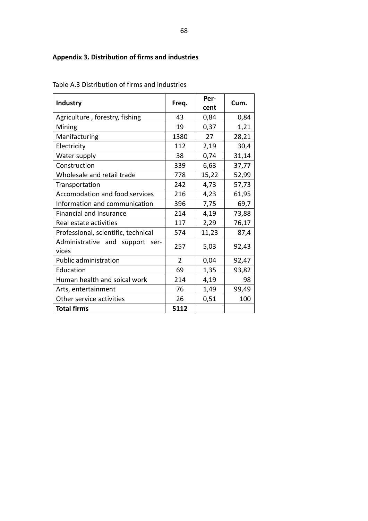# **Appendix 3. Distribution of firms and industries**

|                                                |                | Per-  |       |  |
|------------------------------------------------|----------------|-------|-------|--|
| <b>Industry</b>                                | Freq.          | cent  | Cum.  |  |
| Agriculture, forestry, fishing                 | 43             | 0,84  | 0,84  |  |
| Mining                                         | 19             | 0,37  | 1,21  |  |
| Manifacturing                                  | 1380           | 27    | 28,21 |  |
| Electricity                                    | 112            | 2,19  | 30,4  |  |
| Water supply                                   | 38             | 0,74  | 31,14 |  |
| Construction                                   | 339            | 6,63  | 37,77 |  |
| Wholesale and retail trade                     | 778            | 15,22 | 52,99 |  |
| Transportation                                 | 242            | 4,73  | 57,73 |  |
| Accomodation and food services                 | 216            | 4,23  | 61,95 |  |
| Information and communication                  | 396            | 7,75  | 69,7  |  |
| Financial and insurance                        | 214            | 4,19  | 73,88 |  |
| Real estate activities                         | 117            | 2,29  | 76,17 |  |
| Professional, scientific, technical            | 574            | 11,23 | 87,4  |  |
| Administrative and<br>support<br>ser-<br>vices | 257            | 5,03  | 92,43 |  |
| Public administration                          | $\overline{2}$ | 0,04  | 92,47 |  |
| Education                                      | 69             | 1,35  | 93,82 |  |
| Human health and soical work                   | 214            | 4,19  | 98    |  |
| Arts, entertainment                            | 76             | 1,49  | 99,49 |  |
| Other service activities                       | 26             | 0,51  | 100   |  |
| <b>Total firms</b>                             | 5112           |       |       |  |

Table A.3 Distribution of firms and industries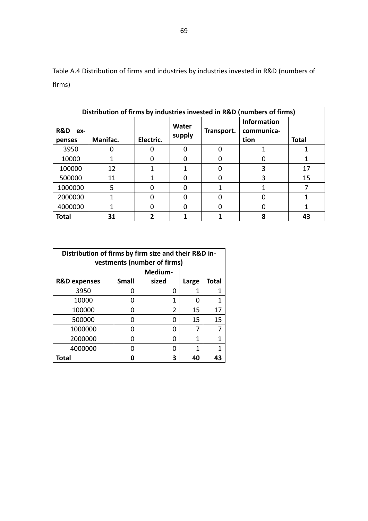Table A.4 Distribution of firms and industries by industries invested in R&D (numbers of firms)

| Distribution of firms by industries invested in R&D (numbers of firms) |          |           |                 |            |                                          |              |  |
|------------------------------------------------------------------------|----------|-----------|-----------------|------------|------------------------------------------|--------------|--|
| <b>R&amp;D</b><br>ex-<br>penses                                        | Manifac. | Electric. | Water<br>supply | Transport. | <b>Information</b><br>communica-<br>tion | <b>Total</b> |  |
| 3950                                                                   |          |           | 0               |            |                                          |              |  |
| 10000                                                                  |          |           | ი               |            |                                          |              |  |
| 100000                                                                 | 12       |           | 1               |            | 3                                        | 17           |  |
| 500000                                                                 | 11       |           |                 |            | 3                                        | 15           |  |
| 1000000                                                                | 5        |           | ი               |            |                                          |              |  |
| 2000000                                                                |          |           | ი               |            |                                          |              |  |
| 4000000                                                                |          |           | ი               |            |                                          |              |  |
| <b>Total</b>                                                           | 31       |           |                 |            | 8                                        | 43           |  |

| Distribution of firms by firm size and their R&D in-<br>vestments (number of firms) |              |         |       |              |  |  |
|-------------------------------------------------------------------------------------|--------------|---------|-------|--------------|--|--|
|                                                                                     |              | Medium- |       |              |  |  |
| <b>R&amp;D expenses</b>                                                             | <b>Small</b> | sized   | Large | <b>Total</b> |  |  |
| 3950                                                                                | O            | n       |       | 1            |  |  |
| 10000                                                                               | O            | 1       | 0     | 1            |  |  |
| 100000                                                                              | O            | 2       | 15    | 17           |  |  |
| 500000                                                                              | n            | ი       | 15    | 15           |  |  |
| 1000000                                                                             | n            | ი       | 7     |              |  |  |
| 2000000                                                                             | n            | ი       | 1     |              |  |  |
| 4000000                                                                             | O            | O       | 1     |              |  |  |
| <b>Total</b>                                                                        |              |         | 40    |              |  |  |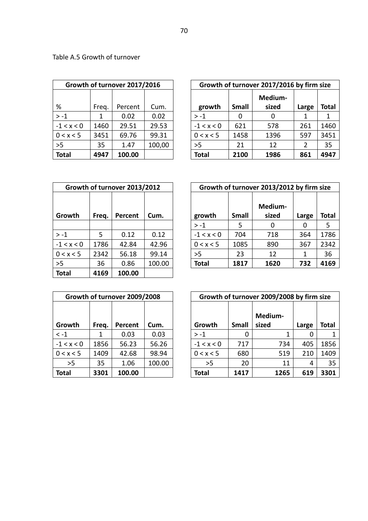|              |       | Growth of turnover 2017/2016 |        |  | Growth of turno |              |
|--------------|-------|------------------------------|--------|--|-----------------|--------------|
|              |       |                              |        |  |                 |              |
| %            | Freq. | Percent                      | Cum.   |  | growth          | <b>Small</b> |
| $> -1$       |       | 0.02                         | 0.02   |  | $> -1$          |              |
| $-1 < x < 0$ | 1460  | 29.51                        | 29.53  |  | $-1 < x < 0$    | 621          |
| 0 < x < 5    | 3451  | 69.76                        | 99.31  |  | 0 < x < 5       | 1458         |
| >5           | 35    | 1.47                         | 100,00 |  | >5              | 21           |
| <b>Total</b> | 4947  | 100.00                       |        |  | <b>Total</b>    | 2100         |

|              |       | Growth of turnover 2017/2016 |        | Growth of turnover 2017/2016 by firm size |              |         |       |       |  |  |
|--------------|-------|------------------------------|--------|-------------------------------------------|--------------|---------|-------|-------|--|--|
|              |       |                              |        |                                           |              | Medium- |       |       |  |  |
| ℅            | Freq. | Percent                      | Cum.   | growth                                    | <b>Small</b> | sized   | Large | Total |  |  |
| $> -1$       | 1     | 0.02                         | 0.02   | $> -1$                                    | 0            |         |       |       |  |  |
| $-1 < x < 0$ | 1460  | 29.51                        | 29.53  | $-1 < x < 0$                              | 621          | 578     | 261   | 1460  |  |  |
| 0 < x < 5    | 3451  | 69.76                        | 99.31  | 0 < x < 5                                 | 1458         | 1396    | 597   | 3451  |  |  |
| >5           | 35    | 1.47                         | 100,00 | >5                                        | 21           | 12      | 2     | 35    |  |  |
| Total        | 4947  | 100.00                       |        | <b>Total</b>                              | 2100         | 1986    | 861   | 4947  |  |  |

| Table A.5 Growth of turnover |
|------------------------------|
|------------------------------|

|              |       | Growth of turnover 2013/2012 |                 |  | <b>Growth of turno</b> |              |
|--------------|-------|------------------------------|-----------------|--|------------------------|--------------|
| Growth       | Freq. |                              | Cum.<br>Percent |  | growth                 | <b>Small</b> |
|              |       |                              |                 |  | $> -1$                 | 5            |
| $> -1$       | 5     | 0.12                         | 0.12            |  | $-1 < x < 0$           | 704          |
| $-1 < x < 0$ | 1786  | 42.84                        | 42.96           |  | 0 < x < 5              | 1085         |
| 0 < x < 5    | 2342  | 56.18                        | 99.14           |  | >5                     | 23           |
| >5           | 36    | 0.86                         | 100.00          |  | <b>Total</b>           | 1817         |
| <b>Total</b> | 4169  | 100.00                       |                 |  |                        |              |

|              |       | Growth of turnover 2013/2012 |        |              |              | Growth of turnover 2013/2012 by firm size |       |       |
|--------------|-------|------------------------------|--------|--------------|--------------|-------------------------------------------|-------|-------|
| Growth       | Freq. | Percent                      | Cum.   | growth       | <b>Small</b> | Medium-<br>sized                          | Large | Total |
|              |       |                              |        | $> -1$       | 5            | 0                                         | 0     | 5     |
| $> -1$       | 5     | 0.12                         | 0.12   | $-1 < x < 0$ | 704          | 718                                       | 364   | 1786  |
| $-1 < x < 0$ | 1786  | 42.84                        | 42.96  | 0 < x < 5    | 1085         | 890                                       | 367   | 2342  |
| 0 < x < 5    | 2342  | 56.18                        | 99.14  | >5           | 23           | 12                                        | 1     | 36    |
| >5           | 36    | 0.86                         | 100.00 | <b>Total</b> | 1817         | 1620                                      | 732   | 4169  |

|              |       | Growth of turnover 2009/2008 |        | <b>Growth of turno</b> |                |
|--------------|-------|------------------------------|--------|------------------------|----------------|
| Growth       | Freq. | <b>Percent</b>               | Cum.   | Growth                 | <b>Small</b>   |
| $\leq -1$    |       | 0.03                         | 0.03   | $> -1$                 | 0              |
| $-1 < x < 0$ | 1856  | 56.23                        | 56.26  | $-1 < x < 0$           | 717            |
| 0 < x < 5    | 1409  | 42.68                        | 98.94  | 0 < x < 5              | <b>680</b>     |
| >5           | 35    | 1.06                         | 100.00 | >5                     | 2 <sub>C</sub> |
| <b>Total</b> | 3301  | 100.00                       |        | Total                  | 1417           |

|                  |       | Growth of turnover 2009/2008 |        |              |              | Growth of turnover 2009/2008 by firm size |       |       |
|------------------|-------|------------------------------|--------|--------------|--------------|-------------------------------------------|-------|-------|
| Growth           | Freq. | Percent                      | Cum.   | Growth       | <b>Small</b> | Medium-<br>sized                          | Large | Total |
| $\mathord{<}$ -1 |       | 0.03                         | 0.03   | $> -1$       | 0            |                                           |       |       |
| $-1 < x < 0$     | 1856  | 56.23                        | 56.26  | $-1 < x < 0$ | 717          | 734                                       | 405   | 1856  |
| 0 < x < 5        | 1409  | 42.68                        | 98.94  | 0 < x < 5    | 680          | 519                                       | 210   | 1409  |
| >5               | 35    | 1.06                         | 100.00 | >5           | 20           | 11                                        | 4     | 35    |
| Total            | 3301  | 100.00                       |        | <b>Total</b> | 1417         | 1265                                      | 619   | 3301  |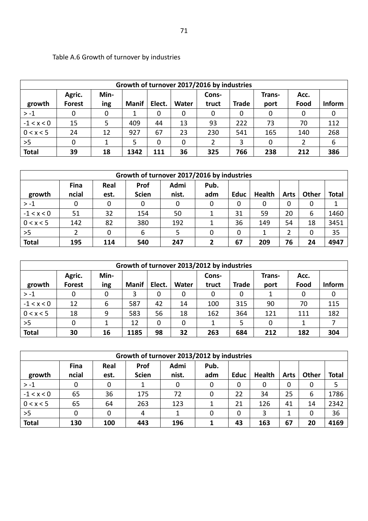| Growth of turnover 2017/2016 by industries |               |      |              |        |              |       |              |        |      |        |  |
|--------------------------------------------|---------------|------|--------------|--------|--------------|-------|--------------|--------|------|--------|--|
|                                            | Agric.        | Min- |              |        |              | Cons- |              | Trans- | Acc. |        |  |
| growth                                     | <b>Forest</b> | ing  | <b>Manif</b> | Elect. | <b>Water</b> | truct | <b>Trade</b> | port   | Food | Inform |  |
| $> -1$                                     | 0             | 0    | 1            | 0      | 0            | 0     | 0            | 0      | 0    | 0      |  |
| $-1 < x < 0$                               | 15            | 5.   | 409          | 44     | 13           | 93    | 222          | 73     | 70   | 112    |  |
| 0 < x < 5                                  | 24            | 12   | 927          | 67     | 23           | 230   | 541          | 165    | 140  | 268    |  |
| >5                                         | 0             |      | 5            | 0      | 0            |       | 3            | 0      |      | 6      |  |
| <b>Total</b>                               | 39            | 18   | 1342         | 111    | 36           | 325   | 766          | 238    | 212  | 386    |  |

# Table A.6 Growth of turnover by industries

| Growth of turnover 2017/2016 by industries |                      |              |                      |               |             |             |              |             |       |              |  |
|--------------------------------------------|----------------------|--------------|----------------------|---------------|-------------|-------------|--------------|-------------|-------|--------------|--|
| growth                                     | <b>Fina</b><br>ncial | Real<br>est. | Prof<br><b>Scien</b> | Admi<br>nist. | Pub.<br>adm | <b>Educ</b> | Health       | <b>Arts</b> | Other | <b>Total</b> |  |
| $> -1$                                     | 0                    |              | 0                    |               | 0           | 0           | $\mathbf{0}$ | 0           | 0     |              |  |
| $-1 < x < 0$                               | 51                   | 32           | 154                  | 50            |             | 31          | 59           | 20          | 6     | 1460         |  |
| 0 < x < 5                                  | 142                  | 82           | 380                  | 192           |             | 36          | 149          | 54          | 18    | 3451         |  |
| >5                                         |                      | 0            | 6                    |               | 0           | 0           |              |             | 0     | 35           |  |
| <b>Total</b>                               | 195                  | 114          | 540                  | 247           | 2           | 67          | 209          | 76          | 24    | 4947         |  |

| Growth of turnover 2013/2012 by industries |               |     |              |        |       |              |       |      |      |        |  |
|--------------------------------------------|---------------|-----|--------------|--------|-------|--------------|-------|------|------|--------|--|
| Min-<br>Agric.<br>Cons-<br>Trans-<br>Acc.  |               |     |              |        |       |              |       |      |      |        |  |
| growth                                     | <b>Forest</b> | ing | <b>Manif</b> | Elect. | Water | truct        | Trade | port | Food | Inform |  |
| $> -1$                                     | 0             | 0   |              | 0      | 0     | $\mathbf{0}$ | 0     |      | 0    | 0      |  |
| $-1 < x < 0$                               | 12            | 6   | 587          | 42     | 14    | 100          | 315   | 90   | 70   | 115    |  |
| 0 < x < 5                                  | 18            | 9   | 583          | 56     | 18    | 162          | 364   | 121  | 111  | 182    |  |
| >5                                         | 0             |     | 12           | 0      | 0     |              | 5     | 0    |      |        |  |
| <b>Total</b>                               | 30            | 16  | 1185         | 98     | 32    | 263          | 684   | 212  | 182  | 304    |  |

|                                                    | Growth of turnover 2013/2012 by industries |      |              |       |     |             |               |             |       |       |  |  |
|----------------------------------------------------|--------------------------------------------|------|--------------|-------|-----|-------------|---------------|-------------|-------|-------|--|--|
| Admi<br><b>Prof</b><br><b>Fina</b><br>Pub.<br>Real |                                            |      |              |       |     |             |               |             |       |       |  |  |
| growth                                             | ncial                                      | est. | <b>Scien</b> | nist. | adm | <b>Educ</b> | <b>Health</b> | <b>Arts</b> | Other | Total |  |  |
| $> -1$                                             | 0                                          | 0    | 1            | 0     | 0   | 0           | 0             | 0           | 0     | 5     |  |  |
| $-1 < x < 0$                                       | 65                                         | 36   | 175          | 72    | 0   | 22          | 34            | 25          | 6     | 1786  |  |  |
| 0 < x < 5                                          | 65                                         | 64   | 263          | 123   |     | 21          | 126           | 41          | 14    | 2342  |  |  |
| >5                                                 | 0                                          | 0    | 4            |       | 0   | 0           | 3             |             | 0     | 36    |  |  |
| <b>Total</b>                                       | 130                                        | 100  | 443          | 196   |     | 43          | 163           | 67          | 20    | 4169  |  |  |